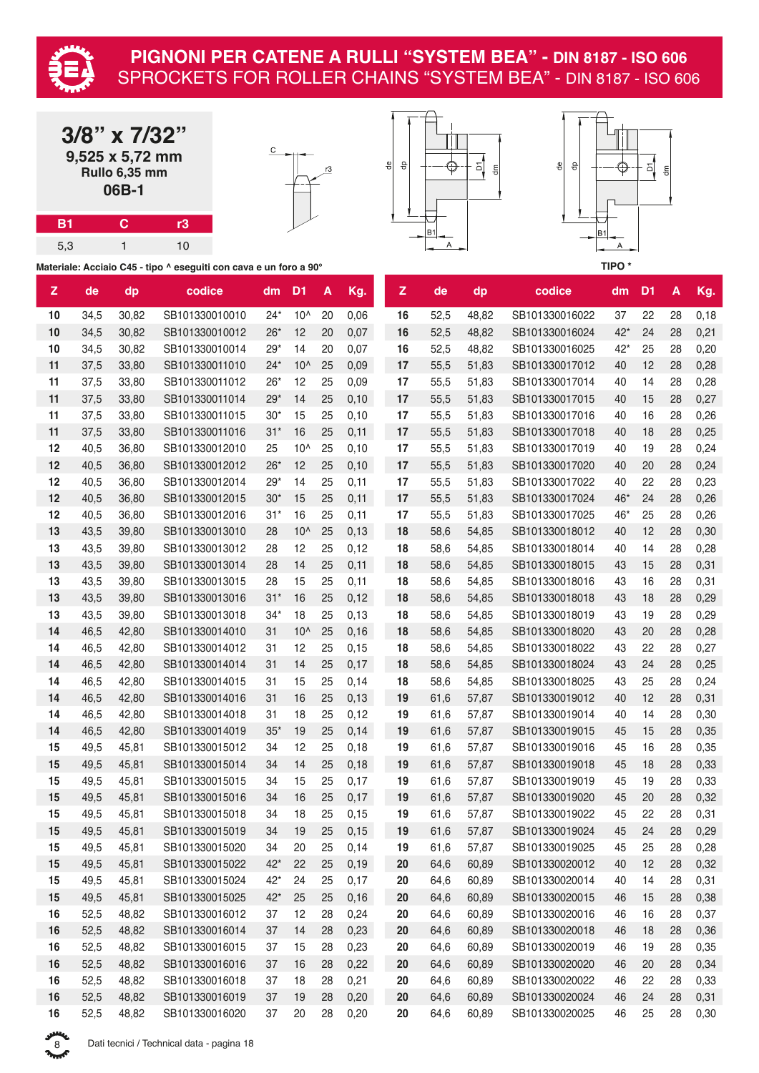

|     | $3/8$ " x $7/32$ "<br>9,525 x 5,72 mm<br>Rullo 6,35 mm<br>06B-1 |    | C<br>윾 | 윾 |
|-----|-----------------------------------------------------------------|----|--------|---|
| B1  | ဂ                                                               | rЗ |        |   |
| 5,3 |                                                                 |    |        |   |

**Materiale: Acciaio C45 - tipo ^ eseguiti con cava e un foro a 90°**





| $\mathbf{Z}$ | de   | dp    | codice         | dm    | D <sub>1</sub> | A  | Kg.   | z      | de   | dp    | codice         | dm    | D <sub>1</sub> | A  | Kg.  |
|--------------|------|-------|----------------|-------|----------------|----|-------|--------|------|-------|----------------|-------|----------------|----|------|
| 10           | 34,5 | 30,82 | SB101330010010 | $24*$ | $10^$          | 20 | 0,06  | 16     | 52,5 | 48,82 | SB101330016022 | 37    | 22             | 28 | 0,18 |
| 10           | 34,5 | 30,82 | SB101330010012 | $26*$ | 12             | 20 | 0,07  | 16     | 52,5 | 48,82 | SB101330016024 | $42*$ | 24             | 28 | 0,21 |
| 10           | 34,5 | 30,82 | SB101330010014 | $29*$ | 14             | 20 | 0,07  | 16     | 52,5 | 48,82 | SB101330016025 | $42*$ | 25             | 28 | 0,20 |
| 11           | 37,5 | 33,80 | SB101330011010 | $24*$ | $10^$          | 25 | 0,09  | 17     | 55,5 | 51,83 | SB101330017012 | 40    | 12             | 28 | 0,28 |
| 11           | 37,5 | 33,80 | SB101330011012 | $26*$ | 12             | 25 | 0,09  | 17     | 55,5 | 51,83 | SB101330017014 | 40    | 14             | 28 | 0,28 |
| 11           | 37,5 | 33,80 | SB101330011014 | $29*$ | 14             | 25 | 0,10  | 17     | 55,5 | 51,83 | SB101330017015 | 40    | 15             | 28 | 0,27 |
| 11           | 37,5 | 33,80 | SB101330011015 | $30*$ | 15             | 25 | 0,10  | 17     | 55,5 | 51,83 | SB101330017016 | 40    | 16             | 28 | 0,26 |
| 11           | 37,5 | 33,80 | SB101330011016 | $31*$ | 16             | 25 | 0,11  | 17     | 55,5 | 51,83 | SB101330017018 | 40    | 18             | 28 | 0,25 |
| 12           | 40,5 | 36,80 | SB101330012010 | 25    | $10^$          | 25 | 0,10  | 17     | 55,5 | 51,83 | SB101330017019 | 40    | 19             | 28 | 0,24 |
| 12           | 40,5 | 36,80 | SB101330012012 | $26*$ | 12             | 25 | 0,10  | 17     | 55,5 | 51,83 | SB101330017020 | 40    | 20             | 28 | 0,24 |
| 12           | 40,5 | 36,80 | SB101330012014 | $29*$ | 14             | 25 | 0,11  | 17     | 55,5 | 51,83 | SB101330017022 | 40    | 22             | 28 | 0,23 |
| 12           | 40,5 | 36,80 | SB101330012015 | $30*$ | 15             | 25 | 0,11  | 17     | 55,5 | 51,83 | SB101330017024 | 46*   | 24             | 28 | 0,26 |
| 12           | 40,5 | 36,80 | SB101330012016 | $31*$ | 16             | 25 | 0,11  | 17     | 55,5 | 51,83 | SB101330017025 | 46*   | 25             | 28 | 0,26 |
| 13           | 43,5 | 39,80 | SB101330013010 | 28    | $10^$          | 25 | 0,13  | 18     | 58,6 | 54,85 | SB101330018012 | 40    | 12             | 28 | 0,30 |
| 13           | 43,5 | 39,80 | SB101330013012 | 28    | 12             | 25 | 0,12  | 18     | 58,6 | 54,85 | SB101330018014 | 40    | 14             | 28 | 0,28 |
| 13           | 43,5 | 39,80 | SB101330013014 | 28    | 14             | 25 | 0,11  | 18     | 58,6 | 54,85 | SB101330018015 | 43    | 15             | 28 | 0,31 |
| 13           | 43,5 | 39,80 | SB101330013015 | 28    | 15             | 25 | 0,11  | 18     | 58,6 | 54,85 | SB101330018016 | 43    | 16             | 28 | 0,31 |
| 13           | 43,5 | 39,80 | SB101330013016 | $31*$ | 16             | 25 | 0,12  | 18     | 58,6 | 54,85 | SB101330018018 | 43    | 18             | 28 | 0,29 |
| 13           | 43,5 | 39,80 | SB101330013018 | $34*$ | 18             | 25 | 0,13  | 18     | 58,6 | 54,85 | SB101330018019 | 43    | 19             | 28 | 0,29 |
| 14           | 46,5 | 42,80 | SB101330014010 | 31    | $10^$          | 25 | 0,16  | 18     | 58,6 | 54,85 | SB101330018020 | 43    | 20             | 28 | 0,28 |
| 14           | 46,5 | 42,80 | SB101330014012 | 31    | 12             | 25 | 0,15  | 18     | 58,6 | 54,85 | SB101330018022 | 43    | 22             | 28 | 0,27 |
| 14           | 46,5 | 42,80 | SB101330014014 | 31    | 14             | 25 | 0,17  | 18     | 58,6 | 54,85 | SB101330018024 | 43    | 24             | 28 | 0,25 |
| 14           | 46,5 | 42,80 | SB101330014015 | 31    | 15             | 25 | 0,14  | 18     | 58,6 | 54,85 | SB101330018025 | 43    | 25             | 28 | 0,24 |
| 14           | 46,5 | 42,80 | SB101330014016 | 31    | 16             | 25 | 0,13  | 19     | 61,6 | 57,87 | SB101330019012 | 40    | 12             | 28 | 0,31 |
| 14           | 46,5 | 42,80 | SB101330014018 | 31    | 18             | 25 | 0,12  | 19     | 61,6 | 57,87 | SB101330019014 | 40    | 14             | 28 | 0,30 |
| 14           | 46,5 | 42,80 | SB101330014019 | $35*$ | 19             | 25 | 0,14  | 19     | 61,6 | 57,87 | SB101330019015 | 45    | 15             | 28 | 0,35 |
| 15           | 49,5 | 45,81 | SB101330015012 | 34    | 12             | 25 | 0,18  | 19     | 61,6 | 57,87 | SB101330019016 | 45    | 16             | 28 | 0,35 |
| 15           | 49,5 | 45,81 | SB101330015014 | 34    | 14             | 25 | 0,18  | 19     | 61,6 | 57,87 | SB101330019018 | 45    | 18             | 28 | 0,33 |
| 15           | 49,5 | 45,81 | SB101330015015 | 34    | 15             | 25 | 0,17  | 19     | 61,6 | 57,87 | SB101330019019 | 45    | 19             | 28 | 0,33 |
| 15           | 49,5 | 45,81 | SB101330015016 | 34    | 16             | 25 | 0,17  | 19     | 61,6 | 57,87 | SB101330019020 | 45    | 20             | 28 | 0,32 |
| 15           | 49,5 | 45,81 | SB101330015018 | 34    | 18             | 25 | 0,15  | 19     | 61,6 | 57,87 | SB101330019022 | 45    | 22             | 28 | 0,31 |
| 15           | 49,5 | 45,81 | SB101330015019 | 34    | 19             | 25 | 0,15  | 19     | 61,6 | 57,87 | SB101330019024 | 45    | 24             | 28 | 0,29 |
| 15           | 49,5 | 45,81 | SB101330015020 | 34    | 20             | 25 | 0,14  | 19     | 61,6 | 57,87 | SB101330019025 | 45    | 25             | 28 | 0,28 |
| 15           | 49,5 | 45,81 | SB101330015022 | $42*$ | 22             | 25 | 0, 19 | 20     | 64,6 | 60,89 | SB101330020012 | 40    | 12             | 28 | 0,32 |
| 15           | 49,5 | 45,81 | SB101330015024 | $42*$ | 24             | 25 | 0,17  | $20\,$ | 64,6 | 60,89 | SB101330020014 | 40    | 14             | 28 | 0,31 |
| 15           | 49,5 | 45,81 | SB101330015025 | $42*$ | 25             | 25 | 0,16  | 20     | 64,6 | 60,89 | SB101330020015 | 46    | 15             | 28 | 0,38 |
| 16           | 52,5 | 48,82 | SB101330016012 | 37    | 12             | 28 | 0,24  | 20     | 64,6 | 60,89 | SB101330020016 | 46    | 16             | 28 | 0,37 |
| 16           | 52,5 | 48,82 | SB101330016014 | 37    | 14             | 28 | 0,23  | 20     | 64,6 | 60,89 | SB101330020018 | 46    | 18             | 28 | 0,36 |
| 16           | 52,5 | 48,82 | SB101330016015 | 37    | 15             | 28 | 0,23  | 20     | 64,6 | 60,89 | SB101330020019 | 46    | 19             | 28 | 0,35 |
| 16           | 52,5 | 48,82 | SB101330016016 | 37    | 16             | 28 | 0,22  | $20\,$ | 64,6 | 60,89 | SB101330020020 | 46    | 20             | 28 | 0,34 |
| 16           | 52,5 | 48,82 | SB101330016018 | 37    | 18             | 28 | 0,21  | $20\,$ | 64,6 | 60,89 | SB101330020022 | 46    | 22             | 28 | 0,33 |
| 16           | 52,5 | 48,82 | SB101330016019 | 37    | 19             | 28 | 0,20  | $20\,$ | 64,6 | 60,89 | SB101330020024 | 46    | 24             | 28 | 0,31 |
| 16           | 52,5 | 48,82 | SB101330016020 | 37    | 20             | 28 | 0,20  | 20     | 64,6 | 60,89 | SB101330020025 | 46    | 25             | 28 | 0,30 |

پر<br>مهمو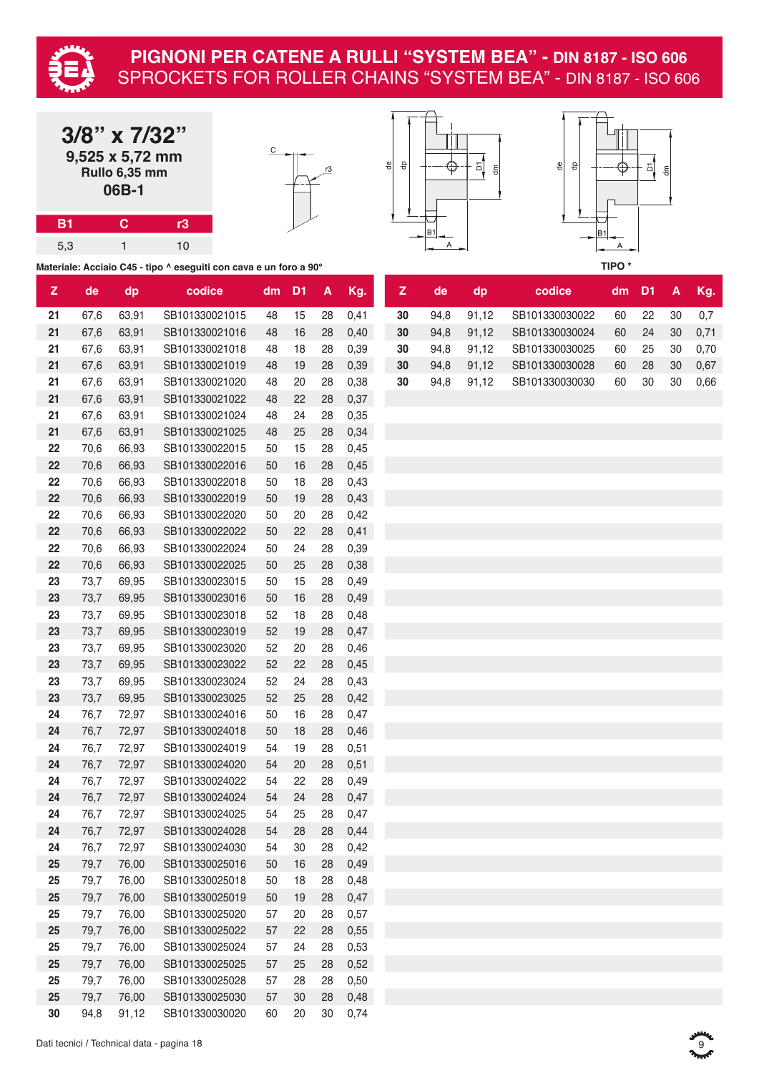

|           | $3/8$ " x $7/32$ "<br>9,525 x 5,72 mm<br>Rullo 6,35 mm<br>06B-1 |    | C                                                                 | 윾 | 윾 |  |
|-----------|-----------------------------------------------------------------|----|-------------------------------------------------------------------|---|---|--|
| <b>B1</b> |                                                                 | r3 |                                                                   |   |   |  |
| 5,3       |                                                                 | 10 |                                                                   |   |   |  |
|           |                                                                 |    | Materiale: Acciaio C45 - tipo ^ eseguiti con cava e un foro a 90° |   |   |  |





**Z de dp codice dm D1 A Kg. Z de dp codice dm D1 A Kg.** 94,8 91,12 SB101330030024 60 24 30 0,71 94,8 91,12 SB101330030025 60 25 30 0,70 94,8 91,12 SB101330030028 60 28 30 0,67 67,6 63,91 SB101330021020 48 20 28 0,38 **30** 94,8 91,12 SB101330030030 60 30 30 0,66

| $\mathsf{Z}$ | de   | dp    | codice         | dm | D <sub>1</sub> | A  | Kg.  | $\mathbf{z}$ | de   | dp    | codice         | dm | D <sub>1</sub> | A  | Kg   |
|--------------|------|-------|----------------|----|----------------|----|------|--------------|------|-------|----------------|----|----------------|----|------|
| 21           | 67,6 | 63,91 | SB101330021015 | 48 | 15             | 28 | 0,41 | 30           | 94,8 | 91,12 | SB101330030022 | 60 | 22             | 30 | 0,7  |
| 21           | 67,6 | 63,91 | SB101330021016 | 48 | 16             | 28 | 0,40 | 30           | 94,8 | 91,12 | SB101330030024 | 60 | 24             | 30 | 0,7  |
| 21           | 67,6 | 63,91 | SB101330021018 | 48 | 18             | 28 | 0,39 | 30           | 94,8 | 91,12 | SB101330030025 | 60 | 25             | 30 | 0,70 |
| 21           | 67,6 | 63,91 | SB101330021019 | 48 | 19             | 28 | 0,39 | 30           | 94,8 | 91,12 | SB101330030028 | 60 | 28             | 30 | 0,6  |
| 21           | 67,6 | 63,91 | SB101330021020 | 48 | 20             | 28 | 0,38 | 30           | 94,8 | 91,12 | SB101330030030 | 60 | $30\,$         | 30 | 0,60 |
| 21           | 67,6 | 63,91 | SB101330021022 | 48 | 22             | 28 | 0,37 |              |      |       |                |    |                |    |      |
| 21           | 67,6 | 63,91 | SB101330021024 | 48 | 24             | 28 | 0,35 |              |      |       |                |    |                |    |      |
| 21           | 67,6 | 63,91 | SB101330021025 | 48 | 25             | 28 | 0,34 |              |      |       |                |    |                |    |      |
| 22           | 70,6 | 66,93 | SB101330022015 | 50 | 15             | 28 | 0,45 |              |      |       |                |    |                |    |      |
| 22           | 70,6 | 66,93 | SB101330022016 | 50 | 16             | 28 | 0,45 |              |      |       |                |    |                |    |      |
| 22           | 70,6 | 66,93 | SB101330022018 | 50 | 18             | 28 | 0,43 |              |      |       |                |    |                |    |      |
| 22           | 70,6 | 66,93 | SB101330022019 | 50 | 19             | 28 | 0,43 |              |      |       |                |    |                |    |      |
| 22           | 70,6 | 66,93 | SB101330022020 | 50 | 20             | 28 | 0,42 |              |      |       |                |    |                |    |      |
| 22           | 70,6 | 66,93 | SB101330022022 | 50 | 22             | 28 | 0,41 |              |      |       |                |    |                |    |      |
| 22           | 70,6 | 66,93 | SB101330022024 | 50 | 24             | 28 | 0,39 |              |      |       |                |    |                |    |      |
| 22           | 70,6 | 66,93 | SB101330022025 | 50 | 25             | 28 | 0,38 |              |      |       |                |    |                |    |      |
| 23           | 73,7 | 69,95 | SB101330023015 | 50 | 15             | 28 | 0,49 |              |      |       |                |    |                |    |      |
| 23           | 73,7 | 69,95 | SB101330023016 | 50 | 16             | 28 | 0,49 |              |      |       |                |    |                |    |      |
| 23           | 73,7 | 69,95 | SB101330023018 | 52 | 18             | 28 | 0,48 |              |      |       |                |    |                |    |      |
| 23           | 73,7 | 69,95 | SB101330023019 | 52 | 19             | 28 | 0,47 |              |      |       |                |    |                |    |      |
| 23           | 73,7 | 69,95 | SB101330023020 | 52 | 20             | 28 | 0,46 |              |      |       |                |    |                |    |      |
| 23           | 73,7 | 69,95 | SB101330023022 | 52 | 22             | 28 | 0,45 |              |      |       |                |    |                |    |      |
| 23           | 73,7 | 69,95 | SB101330023024 | 52 | 24             | 28 | 0,43 |              |      |       |                |    |                |    |      |
| 23           | 73,7 | 69,95 | SB101330023025 | 52 | 25             | 28 | 0,42 |              |      |       |                |    |                |    |      |
| 24           | 76,7 | 72,97 | SB101330024016 | 50 | 16             | 28 | 0,47 |              |      |       |                |    |                |    |      |
| 24           | 76,7 | 72,97 | SB101330024018 | 50 | 18             | 28 | 0,46 |              |      |       |                |    |                |    |      |
| 24           | 76,7 | 72,97 | SB101330024019 | 54 | 19             | 28 | 0,51 |              |      |       |                |    |                |    |      |
| 24           | 76,7 | 72,97 | SB101330024020 | 54 | 20             | 28 | 0,51 |              |      |       |                |    |                |    |      |
| 24           | 76,7 | 72,97 | SB101330024022 | 54 | 22             | 28 | 0,49 |              |      |       |                |    |                |    |      |
| 24           | 76,7 | 72,97 | SB101330024024 | 54 | 24             | 28 | 0,47 |              |      |       |                |    |                |    |      |
| 24           | 76,7 | 72,97 | SB101330024025 | 54 | 25             | 28 | 0,47 |              |      |       |                |    |                |    |      |
| 24           | 76,7 | 72,97 | SB101330024028 | 54 | 28             | 28 | 0,44 |              |      |       |                |    |                |    |      |
| 24           | 76,7 | 72,97 | SB101330024030 | 54 | 30             | 28 | 0,42 |              |      |       |                |    |                |    |      |
| 25           | 79,7 | 76,00 | SB101330025016 | 50 | 16             | 28 | 0,49 |              |      |       |                |    |                |    |      |
| 25           | 79,7 | 76,00 | SB101330025018 | 50 | 18             | 28 | 0,48 |              |      |       |                |    |                |    |      |
| 25           | 79,7 | 76,00 | SB101330025019 | 50 | 19             | 28 | 0,47 |              |      |       |                |    |                |    |      |
| 25           | 79,7 | 76,00 | SB101330025020 | 57 | 20             | 28 | 0,57 |              |      |       |                |    |                |    |      |
| 25           | 79,7 | 76,00 | SB101330025022 | 57 | 22             | 28 | 0,55 |              |      |       |                |    |                |    |      |
| 25           | 79,7 | 76,00 | SB101330025024 | 57 | 24             | 28 | 0,53 |              |      |       |                |    |                |    |      |
| 25           | 79,7 | 76,00 | SB101330025025 | 57 | 25             | 28 | 0,52 |              |      |       |                |    |                |    |      |
| 25           | 79,7 | 76,00 | SB101330025028 | 57 | 28             | 28 | 0,50 |              |      |       |                |    |                |    |      |
| 25           | 79,7 | 76,00 | SB101330025030 | 57 | 30             | 28 | 0,48 |              |      |       |                |    |                |    |      |
| 30           | 94,8 | 91,12 | SB101330030020 | 60 | 20             | 30 | 0,74 |              |      |       |                |    |                |    |      |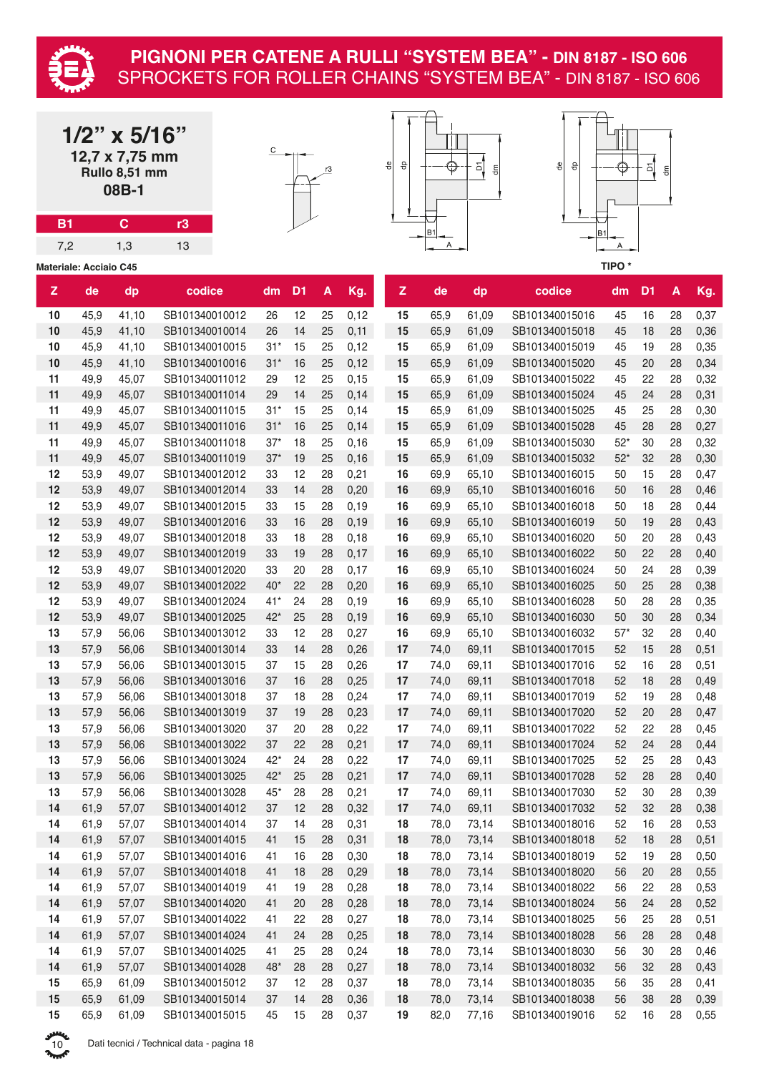

|             |                               | $1/2$ " x 5/16"<br>12,7 x 7,75 mm<br>Rullo 8,51 mm<br>08B-1 |                                  | С        |                | r3       |              | ٩e | 융            | ⊕            | 인<br>$\mathsf{d}\mathsf{m}$ | €<br>융                           |                     | 의              | $\frac{E}{d}$ |              |
|-------------|-------------------------------|-------------------------------------------------------------|----------------------------------|----------|----------------|----------|--------------|----|--------------|--------------|-----------------------------|----------------------------------|---------------------|----------------|---------------|--------------|
| <b>B1</b>   |                               | $\mathbf{C}$                                                | r3                               |          |                |          |              |    |              | <b>B1</b>    |                             |                                  |                     |                |               |              |
| 7,2         |                               | 1,3                                                         | 13                               |          |                |          |              |    |              | A            |                             |                                  | B <sub>1</sub><br>Α |                |               |              |
|             | <b>Materiale: Acciaio C45</b> |                                                             |                                  |          |                |          |              |    |              |              |                             |                                  | TIPO*               |                |               |              |
| $\mathsf Z$ | de                            | dp                                                          | codice                           | dm       | D <sub>1</sub> | A        | Kg.          |    | $\mathsf{Z}$ | de           | dp                          | codice                           | dm                  | D <sub>1</sub> | A             | Kg.          |
| 10          | 45,9                          | 41,10                                                       | SB101340010012                   | 26       | 12             | 25       | 0,12         |    | 15           | 65,9         | 61,09                       | SB101340015016                   | 45                  | 16             | 28            | 0,37         |
| 10          | 45,9                          | 41,10                                                       | SB101340010014                   | 26       | 14             | 25       | 0,11         |    | 15           | 65,9         | 61,09                       | SB101340015018                   | 45                  | 18             | 28            | 0,36         |
| 10          | 45,9                          | 41,10                                                       | SB101340010015                   | $31*$    | 15             | 25       | 0,12         |    | 15           | 65,9         | 61,09                       | SB101340015019                   | 45                  | 19             | 28            | 0,35         |
| 10          | 45,9                          | 41,10                                                       | SB101340010016                   | $31*$    | 16             | 25       | 0,12         |    | 15           | 65,9         | 61,09                       | SB101340015020                   | 45                  | 20             | 28            | 0,34         |
| 11          | 49,9                          | 45,07                                                       | SB101340011012                   | 29       | 12             | 25       | 0,15         |    | 15           | 65,9         | 61,09                       | SB101340015022                   | 45                  | 22             | 28            | 0,32         |
| 11          | 49,9                          | 45,07                                                       | SB101340011014                   | 29       | 14             | 25       | 0,14         |    | 15           | 65,9         | 61,09                       | SB101340015024                   | 45                  | 24             | 28            | 0,31         |
| 11          | 49,9                          | 45,07                                                       | SB101340011015                   | $31*$    | 15             | 25       | 0,14         |    | 15           | 65,9         | 61,09                       | SB101340015025                   | 45                  | 25             | 28            | 0,30         |
| 11          | 49,9                          | 45,07                                                       | SB101340011016                   | $31*$    | 16             | 25       | 0,14         |    | 15           | 65,9         | 61,09                       | SB101340015028                   | 45                  | 28             | 28            | 0,27         |
| 11          | 49,9                          | 45,07                                                       | SB101340011018                   | $37*$    | 18             | 25       | 0, 16        |    | 15           | 65,9         | 61,09                       | SB101340015030                   | $52*$               | 30             | 28            | 0,32         |
| 11          | 49,9                          | 45,07                                                       | SB101340011019                   | $37*$    | 19             | 25       | 0,16         |    | 15           | 65,9         | 61,09                       | SB101340015032                   | $52*$               | 32             | 28            | 0,30         |
| 12          | 53,9                          | 49,07                                                       | SB101340012012                   | 33       | 12             | 28       | 0,21         |    | 16           | 69,9         | 65,10                       | SB101340016015                   | 50                  | 15             | 28            | 0,47         |
| 12          | 53,9                          | 49,07                                                       | SB101340012014                   | 33       | 14             | 28       | 0,20         |    | 16           | 69,9         | 65,10                       | SB101340016016                   | 50                  | 16             | 28            | 0,46         |
| 12          | 53,9                          | 49,07                                                       | SB101340012015                   | 33       | 15             | 28       | 0, 19        |    | 16           | 69,9         | 65,10                       | SB101340016018                   | 50                  | 18             | 28            | 0,44         |
| 12<br>12    | 53,9                          | 49,07                                                       | SB101340012016                   | 33       | 16<br>18       | 28       | 0,19         |    | 16           | 69,9         | 65,10                       | SB101340016019                   | 50                  | 19             | 28            | 0,43         |
| 12          | 53,9                          | 49,07                                                       | SB101340012018                   | 33       | 19             | 28       | 0,18         |    | 16           | 69,9         | 65,10                       | SB101340016020                   | 50                  | 20<br>22       | 28            | 0,43         |
| 12          | 53,9<br>53,9                  | 49,07<br>49,07                                              | SB101340012019<br>SB101340012020 | 33<br>33 | 20             | 28<br>28 | 0,17<br>0,17 |    | 16<br>16     | 69,9<br>69,9 | 65,10<br>65,10              | SB101340016022<br>SB101340016024 | 50<br>50            | 24             | 28<br>28      | 0,40<br>0,39 |
| 12          | 53,9                          | 49,07                                                       | SB101340012022                   | $40*$    | 22             | 28       | 0,20         |    | 16           | 69,9         | 65,10                       | SB101340016025                   | 50                  | 25             | 28            | 0,38         |
| 12          | 53,9                          | 49,07                                                       | SB101340012024                   | $41*$    | 24             | 28       | 0,19         |    | 16           | 69,9         | 65,10                       | SB101340016028                   | 50                  | 28             | 28            | 0,35         |
| 12          | 53,9                          | 49,07                                                       | SB101340012025                   | $42*$    | 25             | 28       | 0,19         |    | 16           | 69,9         | 65,10                       | SB101340016030                   | 50                  | 30             | 28            | 0,34         |
| 13          | 57,9                          | 56,06                                                       | SB101340013012                   | 33       | 12             | 28       | 0,27         |    | 16           | 69,9         | 65,10                       | SB101340016032                   | $57*$               | 32             | 28            | 0,40         |
| 13          | 57,9                          | 56,06                                                       | SB101340013014                   | 33       | 14             | 28       | 0,26         |    | 17           | 74,0         | 69,11                       | SB101340017015                   | 52                  | 15             | 28            | 0,51         |
| 13          | 57,9                          | 56,06                                                       | SB101340013015                   | 37       | 15             | 28       | 0,26         |    | 17           | 74,0         | 69,11                       | SB101340017016                   | 52                  | 16             | 28            | 0,51         |
| 13          | 57,9                          | 56,06                                                       | SB101340013016                   | 37       | 16             | 28       | 0,25         |    | 17           | 74,0         | 69,11                       | SB101340017018                   | 52                  | 18             | 28            | 0,49         |
| 13          | 57,9                          | 56,06                                                       | SB101340013018                   | 37       | 18             | 28       | 0,24         |    | 17           | 74,0         | 69,11                       | SB101340017019                   | 52                  | 19             | 28            | 0,48         |
| 13          | 57,9                          | 56,06                                                       | SB101340013019                   | 37       | 19             | 28       | 0,23         |    | 17           | 74,0         | 69,11                       | SB101340017020                   | 52                  | 20             | 28            | 0,47         |
| 13          | 57,9                          | 56,06                                                       | SB101340013020                   | 37       | 20             | 28       | 0,22         |    | 17           | 74,0         | 69,11                       | SB101340017022                   | 52                  | 22             | 28            | 0,45         |
| 13          | 57,9                          | 56,06                                                       | SB101340013022                   | 37       | 22             | 28       | 0,21         |    | 17           | 74,0         | 69,11                       | SB101340017024                   | 52                  | 24             | 28            | 0,44         |
| 13          | 57,9                          | 56,06                                                       | SB101340013024                   | $42*$    | 24             | 28       | 0,22         |    | 17           | 74,0         | 69,11                       | SB101340017025                   | 52                  | 25             | 28            | 0,43         |
| 13          | 57,9                          | 56,06                                                       | SB101340013025                   | $42*$    | 25             | 28       | 0,21         |    | 17           | 74,0         | 69,11                       | SB101340017028                   | 52                  | 28             | 28            | 0,40         |
| 13          | 57,9                          | 56,06                                                       | SB101340013028                   | $45*$    | 28             | 28       | 0,21         |    | 17           | 74,0         | 69,11                       | SB101340017030                   | 52                  | 30             | 28            | 0,39         |
| 14          | 61,9                          | 57,07                                                       | SB101340014012                   | 37       | 12             | 28       | 0,32         |    | 17           | 74,0         | 69,11                       | SB101340017032                   | 52                  | 32             | 28            | 0,38         |
| 14          | 61,9                          | 57,07                                                       | SB101340014014                   | 37       | 14             | 28       | 0,31         |    | 18           | 78,0         | 73,14                       | SB101340018016                   | 52                  | 16             | 28            | 0,53         |
| 14          | 61,9                          | 57,07                                                       | SB101340014015                   | 41       | 15             | 28       | 0,31         |    | 18           | 78,0         | 73,14                       | SB101340018018                   | 52                  | 18             | 28            | 0,51         |
| 14          | 61,9                          | 57,07                                                       | SB101340014016                   | 41       | 16             | 28       | 0,30         |    | 18           | 78,0         | 73,14                       | SB101340018019                   | 52                  | 19             | 28            | 0,50         |
| 14          | 61,9                          | 57,07                                                       | SB101340014018                   | 41       | 18             | 28       | 0,29         |    | 18           | 78,0         | 73,14                       | SB101340018020                   | 56                  | 20             | 28            | 0,55         |
| 14          | 61,9                          | 57,07                                                       | SB101340014019                   | 41       | 19             | 28       | 0,28         |    | 18           | 78,0         | 73,14                       | SB101340018022                   | 56                  | 22             | 28            | 0,53         |
| 14          | 61,9                          | 57,07                                                       | SB101340014020                   | 41       | 20             | 28       | 0,28         |    | 18           | 78,0         | 73,14                       | SB101340018024                   | 56                  | 24             | 28            | 0,52         |
| 14          | 61,9                          | 57,07                                                       | SB101340014022                   | 41       | 22             | 28       | 0,27         |    | 18           | 78,0         | 73,14                       | SB101340018025                   | 56                  | 25             | 28            | 0,51         |
| 14          | 61,9                          | 57,07                                                       | SB101340014024                   | 41       | 24             | 28       | 0,25         |    | 18           | 78,0         | 73,14                       | SB101340018028                   | 56                  | 28             | 28            | 0,48         |
| 14          | 61,9                          | 57,07                                                       | SB101340014025                   | 41       | 25             | 28       | 0,24         |    | 18           | 78,0         | 73,14                       | SB101340018030                   | 56                  | 30             | 28            | 0,46         |
| 14          | 61,9                          | 57,07                                                       | SB101340014028                   | $48*$    | 28             | 28       | 0,27         |    | 18           | 78,0         | 73,14                       | SB101340018032                   | 56                  | 32             | 28            | 0,43         |
| 15          | 65,9                          | 61,09                                                       | SB101340015012                   | 37       | 12             | 28       | 0,37         |    | 18           | 78,0         | 73,14                       | SB101340018035                   | 56                  | 35             | 28            | 0,41         |

 65,9 61,09 SB101340015014 37 14 28 0,36 **18** 78,0 73,14 SB101340018038 56 38 28 0,39 65,9 61,09 SB101340015015 45 15 28 0,37 **19** 82,0 77,16 SB101340019016 52 16 28 0,55

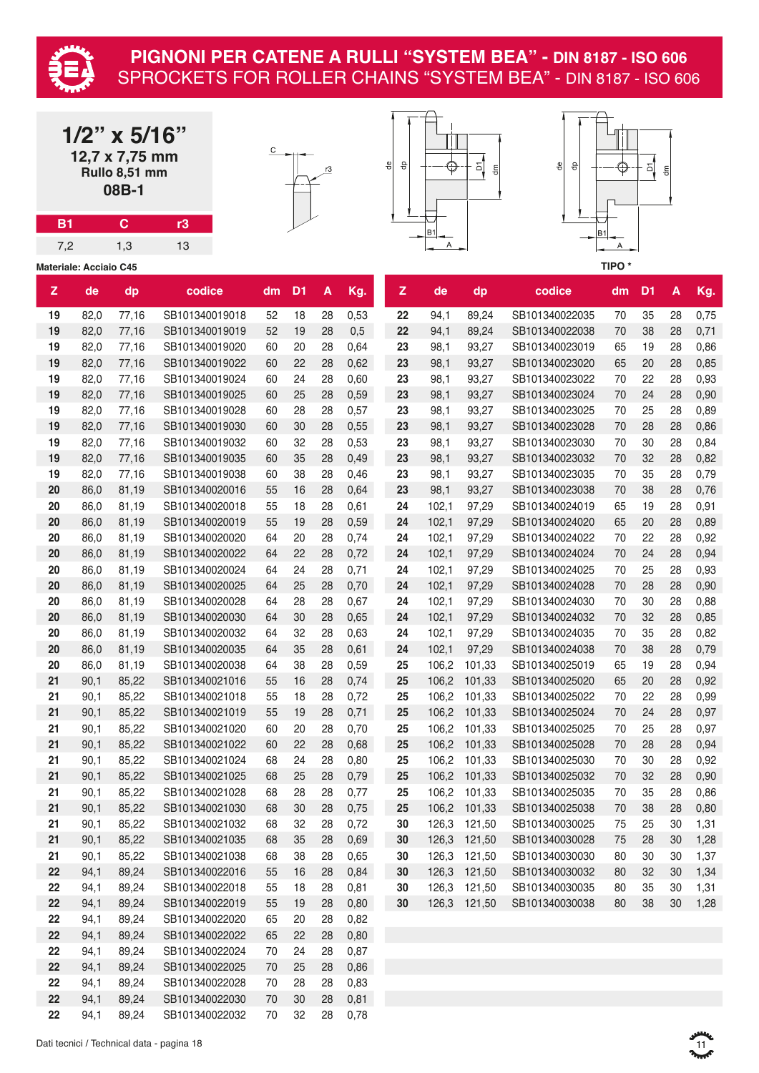

|                               |      | $1/2$ " x 5/16"<br>12,7 x 7,75 mm<br>Rullo 8,51 mm<br>08B-1 |                |    |                |                    |      | ₽<br>융       |                     | 인<br>$\epsilon$ | $\partial_{\theta}$<br>융 |                   | 회              | $\mathop{\mathsf{g}}\nolimits$ |      |
|-------------------------------|------|-------------------------------------------------------------|----------------|----|----------------|--------------------|------|--------------|---------------------|-----------------|--------------------------|-------------------|----------------|--------------------------------|------|
| <b>B1</b>                     |      | $\mathbf C$                                                 | r3             |    |                |                    |      |              |                     |                 |                          |                   |                |                                |      |
| 7,2                           |      | 1,3                                                         | 13             |    |                |                    |      |              | B <sub>1</sub><br>Α |                 |                          | B1<br>Α           |                |                                |      |
| <b>Materiale: Acciaio C45</b> |      |                                                             |                |    |                |                    |      |              |                     |                 |                          | TIPO <sup>*</sup> |                |                                |      |
| $\mathbf{z}$                  | de   | dp                                                          | codice         | dm | D <sub>1</sub> | $\pmb{\mathsf{A}}$ | Kg.  | $\mathsf{Z}$ | de                  | dp              | codice                   | dm                | D <sub>1</sub> | A                              | Kg.  |
| 19                            | 82,0 | 77,16                                                       | SB101340019018 | 52 | 18             | 28                 | 0,53 | 22           | 94,1                | 89,24           | SB101340022035           | 70                | 35             | 28                             | 0,75 |
| 19                            | 82,0 | 77,16                                                       | SB101340019019 | 52 | 19             | 28                 | 0,5  | 22           | 94,1                | 89,24           | SB101340022038           | 70                | 38             | 28                             | 0,71 |
| 19                            | 82,0 | 77,16                                                       | SB101340019020 | 60 | 20             | 28                 | 0,64 | 23           | 98,1                | 93,27           | SB101340023019           | 65                | 19             | 28                             | 0,86 |
| 19                            | 82,0 | 77,16                                                       | SB101340019022 | 60 | 22             | 28                 | 0,62 | 23           | 98,1                | 93,27           | SB101340023020           | 65                | 20             | 28                             | 0,85 |
| 19                            | 82,0 | 77,16                                                       | SB101340019024 | 60 | 24             | 28                 | 0,60 | 23           | 98,1                | 93,27           | SB101340023022           | 70                | 22             | 28                             | 0,93 |
| 19                            | 82,0 | 77,16                                                       | SB101340019025 | 60 | 25             | 28                 | 0,59 | 23           | 98,1                | 93,27           | SB101340023024           | 70                | 24             | 28                             | 0,90 |
| 19                            | 82,0 | 77,16                                                       | SB101340019028 | 60 | 28             | 28                 | 0,57 | 23           | 98,1                | 93,27           | SB101340023025           | 70                | 25             | 28                             | 0,89 |
| 19                            | 82,0 | 77,16                                                       | SB101340019030 | 60 | 30             | 28                 | 0,55 | 23           | 98,1                | 93,27           | SB101340023028           | 70                | 28             | 28                             | 0,86 |
| 19                            | 82,0 | 77,16                                                       | SB101340019032 | 60 | 32             | 28                 | 0,53 | 23           | 98,1                | 93,27           | SB101340023030           | 70                | 30             | 28                             | 0,84 |
| 19                            | 82,0 | 77,16                                                       | SB101340019035 | 60 | 35             | 28                 | 0,49 | 23           | 98,1                | 93,27           | SB101340023032           | 70                | 32             | 28                             | 0,82 |
| 19                            | 82,0 | 77,16                                                       | SB101340019038 | 60 | 38             | 28                 | 0,46 | 23           | 98,1                | 93,27           | SB101340023035           | 70                | 35             | 28                             | 0,79 |
| 20                            | 86,0 | 81,19                                                       | SB101340020016 | 55 | 16             | 28                 | 0,64 | 23           | 98,1                | 93,27           | SB101340023038           | 70                | 38             | 28                             | 0,76 |
| 20                            | 86,0 | 81,19                                                       | SB101340020018 | 55 | 18             | 28                 | 0,61 | 24           | 102,1               | 97,29           | SB101340024019           | 65                | 19             | 28                             | 0,91 |
| 20                            | 86,0 | 81,19                                                       | SB101340020019 | 55 | 19             | 28                 | 0,59 | 24           | 102,1               | 97,29           | SB101340024020           | 65                | 20             | 28                             | 0,89 |
| 20                            | 86,0 | 81,19                                                       | SB101340020020 | 64 | 20             | 28                 | 0,74 | 24           | 102,1               | 97,29           | SB101340024022           | 70                | 22             | 28                             | 0,92 |
| 20                            | 86,0 | 81,19                                                       | SB101340020022 | 64 | 22             | 28                 | 0,72 | 24           | 102,1               | 97,29           | SB101340024024           | 70                | 24             | 28                             | 0,94 |
| 20                            | 86,0 | 81,19                                                       | SB101340020024 | 64 | 24             | 28                 | 0,71 | 24           | 102,1               | 97,29           | SB101340024025           | 70                | 25             | 28                             | 0,93 |
| 20                            | 86,0 | 81,19                                                       | SB101340020025 | 64 | 25             | 28                 | 0,70 | 24           | 102,1               | 97,29           | SB101340024028           | 70                | 28             | 28                             | 0,90 |
| 20                            | 86,0 | 81,19                                                       | SB101340020028 | 64 | 28             | 28                 | 0,67 | 24           | 102,1               | 97,29           | SB101340024030           | 70                | 30             | 28                             | 0,88 |
| 20                            | 86,0 | 81,19                                                       | SB101340020030 | 64 | 30             | 28                 | 0,65 | 24           | 102,1               | 97,29           | SB101340024032           | 70                | 32             | 28                             | 0,85 |
| 20                            | 86,0 | 81,19                                                       | SB101340020032 | 64 | 32             | 28                 | 0,63 | 24           | 102,1               | 97,29           | SB101340024035           | 70                | 35             | 28                             | 0,82 |
| 20                            | 86,0 | 81,19                                                       | SB101340020035 | 64 | 35             | 28                 | 0,61 | 24           | 102,1               | 97,29           | SB101340024038           | $70\,$            | 38             | 28                             | 0,79 |
| 20                            | 86,0 | 81,19                                                       | SB101340020038 | 64 | 38             | 28                 | 0,59 | 25           | 106,2               | 101,33          | SB101340025019           | 65                | 19             | 28                             | 0,94 |
| 21                            | 90,1 | 85,22                                                       | SB101340021016 | 55 | 16             | 28                 | 0,74 | 25           |                     | 106,2 101,33    | SB101340025020           | 65                | 20             | 28                             | 0,92 |
| 21                            | 90,1 | 85,22                                                       | SB101340021018 | 55 | 18             | 28                 | 0,72 | 25           |                     | 106,2 101,33    | SB101340025022           | 70                | 22             | 28                             | 0,99 |
| 21                            | 90,1 | 85,22                                                       | SB101340021019 | 55 | 19             | 28                 | 0,71 | 25           | 106,2               | 101,33          | SB101340025024           | 70                | 24             | 28                             | 0,97 |
| 21                            | 90,1 | 85,22                                                       | SB101340021020 | 60 | 20             | 28                 | 0,70 | 25           | 106,2               | 101,33          | SB101340025025           | 70                | 25             | 28                             | 0,97 |
| 21                            | 90,1 | 85,22                                                       | SB101340021022 | 60 | 22             | 28                 | 0,68 | 25           | 106,2               | 101,33          | SB101340025028           | 70                | 28             | 28                             | 0,94 |
| 21                            | 90,1 | 85,22                                                       | SB101340021024 | 68 | 24             | 28                 | 0,80 | 25           | 106,2               | 101,33          | SB101340025030           | 70                | 30             | 28                             | 0,92 |
| 21                            | 90,1 | 85,22                                                       | SB101340021025 | 68 | 25             | 28                 | 0,79 | 25           |                     | 106,2 101,33    | SB101340025032           | 70                | 32             | 28                             | 0,90 |
| 21                            | 90,1 | 85,22                                                       | SB101340021028 | 68 | 28             | 28                 | 0,77 | 25           | 106,2               | 101,33          | SB101340025035           | 70                | 35             | 28                             | 0,86 |
| 21                            | 90,1 | 85,22                                                       | SB101340021030 | 68 | 30             | 28                 | 0,75 | 25           | 106,2               | 101,33          | SB101340025038           | 70                | 38             | 28                             | 0,80 |
| 21                            | 90,1 | 85,22                                                       | SB101340021032 | 68 | 32             | 28                 | 0,72 | 30           | 126,3               | 121,50          | SB101340030025           | 75                | 25             | 30                             | 1,31 |
| 21                            | 90,1 | 85,22                                                       | SB101340021035 | 68 | 35             | 28                 | 0,69 | 30           | 126,3               | 121,50          | SB101340030028           | 75                | 28             | 30                             | 1,28 |
| 21                            | 90,1 | 85,22                                                       | SB101340021038 | 68 | 38             | 28                 | 0,65 | 30           | 126,3               | 121,50          | SB101340030030           | 80                | 30             | 30                             | 1,37 |
| 22                            | 94,1 | 89,24                                                       | SB101340022016 | 55 | 16             | 28                 | 0,84 | 30           |                     | 126,3 121,50    | SB101340030032           | 80                | 32             | 30                             | 1,34 |
| 22                            | 94,1 | 89,24                                                       | SB101340022018 | 55 | 18             | 28                 | 0,81 | 30           | 126,3               | 121,50          | SB101340030035           | 80                | 35             | 30                             | 1,31 |
| 22                            | 94,1 | 89,24                                                       | SB101340022019 | 55 | 19             | 28                 | 0,80 | 30           | 126,3               | 121,50          | SB101340030038           | 80                | 38             | 30                             | 1,28 |
| 22                            | 94,1 | 89,24                                                       | SB101340022020 | 65 | 20             | 28                 | 0,82 |              |                     |                 |                          |                   |                |                                |      |
| 22                            | 94,1 | 89,24                                                       | SB101340022022 | 65 | 22             | 28                 | 0,80 |              |                     |                 |                          |                   |                |                                |      |
| 22                            | 94,1 | 89,24                                                       | SB101340022024 | 70 | 24             | 28                 | 0,87 |              |                     |                 |                          |                   |                |                                |      |
| 22                            | 94,1 | 89,24                                                       | SB101340022025 | 70 | 25             | 28                 | 0,86 |              |                     |                 |                          |                   |                |                                |      |

 94,1 89,24 SB101340022028 70 28 28 0,83 94,1 89,24 SB101340022030 70 30 28 0,81 94,1 89,24 SB101340022032 70 32 28 0,78

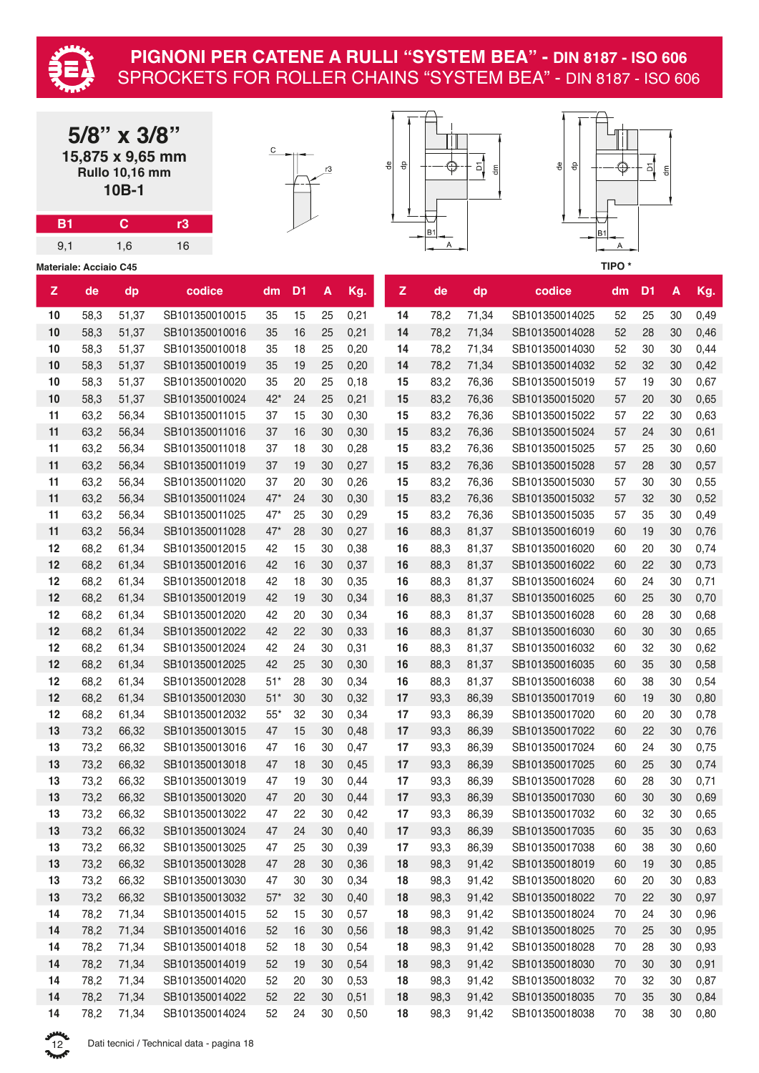

|           |                               | $5/8$ " x $3/8$ "<br>15,875 x 9,65 mm<br><b>Rullo 10,16 mm</b><br>10B-1 |                                  |          |                |          |              | ₽ | 융        |                | 힘<br>$\mathop{\mathsf{f}}\nolimits$ | 읭<br>융                           |                   | 의              | $\frac{\epsilon}{\sigma}$ |              |
|-----------|-------------------------------|-------------------------------------------------------------------------|----------------------------------|----------|----------------|----------|--------------|---|----------|----------------|-------------------------------------|----------------------------------|-------------------|----------------|---------------------------|--------------|
| <b>B1</b> |                               | $\mathbf C$                                                             | r3                               |          |                |          |              |   |          |                |                                     |                                  |                   |                |                           |              |
| 9,1       |                               | 1,6                                                                     | 16                               |          |                |          |              |   |          | <b>B1</b><br>Α |                                     | <b>B1</b>                        | Α                 |                |                           |              |
|           |                               |                                                                         |                                  |          |                |          |              |   |          |                |                                     |                                  | TIPO <sup>*</sup> |                |                           |              |
|           | <b>Materiale: Acciaio C45</b> |                                                                         |                                  |          |                |          |              |   |          |                |                                     |                                  |                   |                |                           |              |
| Z         | de                            | dp                                                                      | codice                           | dm       | D <sub>1</sub> | A        | Kg.          |   | Z        | de             | dp                                  | codice                           | dm                | D <sub>1</sub> | $\pmb{\mathsf{A}}$        | Kg.          |
| 10        | 58,3                          | 51,37                                                                   | SB101350010015                   | 35       | 15             | 25       | 0,21         |   | 14       | 78,2           | 71,34                               | SB101350014025                   | 52                | 25             | 30                        | 0,49         |
| 10        | 58,3                          | 51,37                                                                   | SB101350010016                   | 35       | 16             | 25       | 0,21         |   | 14       | 78,2           | 71,34                               | SB101350014028                   | 52                | 28             | 30                        | 0,46         |
| 10        | 58,3                          | 51,37                                                                   | SB101350010018                   | 35       | 18             | 25       | 0,20         |   | 14       | 78,2           | 71,34                               | SB101350014030                   | 52                | 30             | 30                        | 0,44         |
| 10        | 58,3                          | 51,37                                                                   | SB101350010019                   | 35       | 19             | 25       | 0,20         |   | 14       | 78,2           | 71,34                               | SB101350014032                   | 52                | 32             | 30                        | 0,42         |
| 10        | 58,3                          | 51,37                                                                   | SB101350010020                   | 35       | 20             | 25       | 0,18         |   | 15       | 83,2           | 76,36                               | SB101350015019                   | 57                | 19             | 30                        | 0,67         |
| 10        | 58,3                          | 51,37                                                                   | SB101350010024                   | $42*$    | 24             | 25       | 0,21         |   | 15       | 83,2           | 76,36                               | SB101350015020                   | 57                | 20             | 30                        | 0,65         |
| 11        | 63,2                          | 56,34                                                                   | SB101350011015                   | 37       | 15             | 30       | 0,30         |   | 15       | 83,2           | 76,36                               | SB101350015022                   | 57                | 22             | 30                        | 0,63         |
| 11        | 63,2                          | 56,34                                                                   | SB101350011016                   | 37       | 16             | 30       | 0,30         |   | 15       | 83,2           | 76,36                               | SB101350015024                   | 57                | 24             | 30                        | 0,61         |
| 11        | 63,2                          | 56,34                                                                   | SB101350011018                   | 37       | 18             | 30       | 0,28         |   | 15       | 83,2           | 76,36                               | SB101350015025                   | 57                | 25             | 30                        | 0,60         |
| 11        | 63,2                          | 56,34                                                                   | SB101350011019                   | 37       | 19             | 30       | 0,27         |   | 15       | 83,2           | 76,36                               | SB101350015028                   | 57                | 28             | 30                        | 0,57         |
| 11        | 63,2                          | 56,34                                                                   | SB101350011020                   | 37       | 20             | 30       | 0,26         |   | 15       | 83,2           | 76,36                               | SB101350015030                   | 57                | 30             | 30                        | 0,55         |
| 11        | 63,2                          | 56,34                                                                   | SB101350011024                   | $47*$    | 24             | 30       | 0,30         |   | 15       | 83,2           | 76,36                               | SB101350015032                   | 57                | 32             | 30                        | 0,52         |
| 11        | 63,2                          | 56,34                                                                   | SB101350011025                   | $47*$    | 25             | 30       | 0,29         |   | 15       | 83,2           | 76,36                               | SB101350015035                   | 57                | 35             | 30                        | 0,49         |
| 11        | 63,2                          | 56,34                                                                   | SB101350011028                   | $47*$    | 28             | 30       | 0,27         |   | 16       | 88,3           | 81,37                               | SB101350016019                   | 60                | 19             | 30                        | 0,76         |
| 12        | 68,2                          | 61,34                                                                   | SB101350012015                   | 42       | 15             | 30       | 0,38         |   | 16       | 88,3           | 81,37                               | SB101350016020                   | 60                | 20             | 30                        | 0,74         |
| 12        | 68,2                          | 61,34                                                                   | SB101350012016                   | 42       | 16             | 30       | 0,37         |   | 16       | 88,3           | 81,37                               | SB101350016022                   | 60                | 22             | 30                        | 0,73         |
| 12        | 68,2                          | 61,34                                                                   | SB101350012018                   | 42       | 18             | 30       | 0,35         |   | 16       | 88,3           | 81,37                               | SB101350016024                   | 60                | 24             | 30                        | 0,71         |
| 12        | 68,2                          | 61,34                                                                   | SB101350012019                   | 42       | 19             | 30       | 0,34         |   | 16       | 88,3           | 81,37                               | SB101350016025                   | 60                | 25             | 30                        | 0,70         |
| 12        | 68,2                          | 61,34                                                                   | SB101350012020                   | 42       | 20             | 30       | 0,34         |   | 16       | 88,3           | 81,37                               | SB101350016028                   | 60                | 28             | 30                        | 0,68         |
| 12        | 68,2                          | 61,34                                                                   | SB101350012022                   | 42       | 22             | 30       | 0,33         |   | 16       | 88,3           | 81,37                               | SB101350016030                   | 60                | 30             | 30                        | 0,65         |
| 12        | 68,2                          | 61,34                                                                   | SB101350012024                   | 42       | 24             | 30       | 0,31         |   | 16       | 88,3           | 81,37                               | SB101350016032                   | 60                | 32             | 30                        | 0,62         |
| 12        | 68,2                          | 61,34                                                                   | SB101350012025                   | 42       | 25             | 30       | 0,30         |   | 16       | 88,3           | 81,37                               | SB101350016035                   | 60                | 35             | 30                        | 0,58         |
| 12        | 68,2                          | 61,34                                                                   | SB101350012028                   | 51*      | 28             | 30       | 0,34         |   | 16       | 88,3           | 81,37                               | SB101350016038                   | 60                | 38             | 30                        | 0,54         |
| 12        | 68,2                          | 61,34                                                                   | SB101350012030                   | $51*$    | 30             | 30       | 0,32         |   | 17       | 93,3           | 86,39                               | SB101350017019                   | 60                | 19             | 30                        | 0,80         |
| 12        | 68,2                          | 61,34                                                                   | SB101350012032<br>SB101350013015 | $55*$    | 32             | 30       | 0,34         |   | 17       | 93,3           | 86,39                               | SB101350017020                   | 60                | 20             | 30                        | 0,78         |
| 13<br>13  | 73,2<br>73,2                  | 66,32<br>66,32                                                          | SB101350013016                   | 47<br>47 | 15<br>16       | 30<br>30 | 0,48<br>0,47 |   | 17<br>17 | 93,3<br>93,3   | 86,39<br>86,39                      | SB101350017022<br>SB101350017024 | 60<br>60          | 22<br>24       | 30<br>30                  | 0,76         |
| 13        | 73,2                          | 66,32                                                                   | SB101350013018                   | 47       | 18             | $30\,$   | 0,45         |   | 17       | 93,3           | 86,39                               | SB101350017025                   | 60                | 25             | 30                        | 0,75<br>0,74 |
| 13        | 73,2                          | 66,32                                                                   | SB101350013019                   | 47       | 19             | 30       | 0,44         |   | 17       | 93,3           | 86,39                               | SB101350017028                   | 60                | 28             | 30                        | 0,71         |
| 13        | 73,2                          | 66,32                                                                   | SB101350013020                   | 47       | 20             | $30\,$   | 0,44         |   | 17       | 93,3           | 86,39                               | SB101350017030                   | 60                | 30             | 30                        | 0,69         |
| 13        | 73,2                          | 66,32                                                                   | SB101350013022                   | 47       | 22             | 30       | 0,42         |   | 17       | 93,3           | 86,39                               | SB101350017032                   | 60                | 32             | 30                        | 0,65         |
| 13        | 73,2                          | 66,32                                                                   | SB101350013024                   | 47       | 24             | 30       | 0,40         |   | 17       | 93,3           | 86,39                               | SB101350017035                   | 60                | 35             | 30                        | 0,63         |
| 13        | 73,2                          | 66,32                                                                   | SB101350013025                   | 47       | 25             | 30       | 0,39         |   | 17       | 93,3           | 86,39                               | SB101350017038                   | 60                | 38             | 30                        | 0,60         |
| 13        | 73,2                          | 66,32                                                                   | SB101350013028                   | 47       | 28             | 30       | 0,36         |   | 18       | 98,3           | 91,42                               | SB101350018019                   | 60                | 19             | 30                        | 0,85         |
| 13        | 73,2                          | 66,32                                                                   | SB101350013030                   | 47       | $30\,$         | 30       | 0,34         |   | 18       | 98,3           | 91,42                               | SB101350018020                   | 60                | 20             | 30                        | 0,83         |
| 13        | 73,2                          | 66,32                                                                   | SB101350013032                   | $57*$    | 32             | 30       | 0,40         |   | 18       | 98,3           | 91,42                               | SB101350018022                   | 70                | 22             | 30                        | 0,97         |
| 14        | 78,2                          | 71,34                                                                   | SB101350014015                   | 52       | 15             | 30       | 0,57         |   | 18       | 98,3           | 91,42                               | SB101350018024                   | 70                | 24             | 30                        | 0,96         |
| 14        | 78,2                          | 71,34                                                                   | SB101350014016                   | 52       | 16             | 30       | 0,56         |   | 18       | 98,3           | 91,42                               | SB101350018025                   | $70\,$            | 25             | 30                        | 0,95         |
| 14        | 78,2                          | 71,34                                                                   | SB101350014018                   | 52       | 18             | 30       | 0,54         |   | 18       | 98,3           | 91,42                               | SB101350018028                   | 70                | 28             | 30                        | 0,93         |
| 14        | 78,2                          | 71,34                                                                   | SB101350014019                   | 52       | 19             | 30       | 0,54         |   | 18       | 98,3           | 91,42                               | SB101350018030                   | 70                | $30\,$         | 30                        | 0,91         |
| 14        | 78,2                          | 71,34                                                                   | SB101350014020                   | 52       | 20             | 30       | 0,53         |   | 18       | 98,3           | 91,42                               | SB101350018032                   | 70                | 32             | 30                        | 0,87         |
| 14        | 78,2                          | 71,34                                                                   | SB101350014022                   | 52       | 22             | 30       | 0,51         |   | 18       | 98,3           | 91,42                               | SB101350018035                   | 70                | 35             | 30                        | 0,84         |
| 14        | 78,2                          | 71,34                                                                   | SB101350014024                   | 52       | 24             | $30\,$   | 0,50         |   | 18       | 98,3           | 91,42                               | SB101350018038                   | $70\,$            | 38             | $30\,$                    | 0,80         |

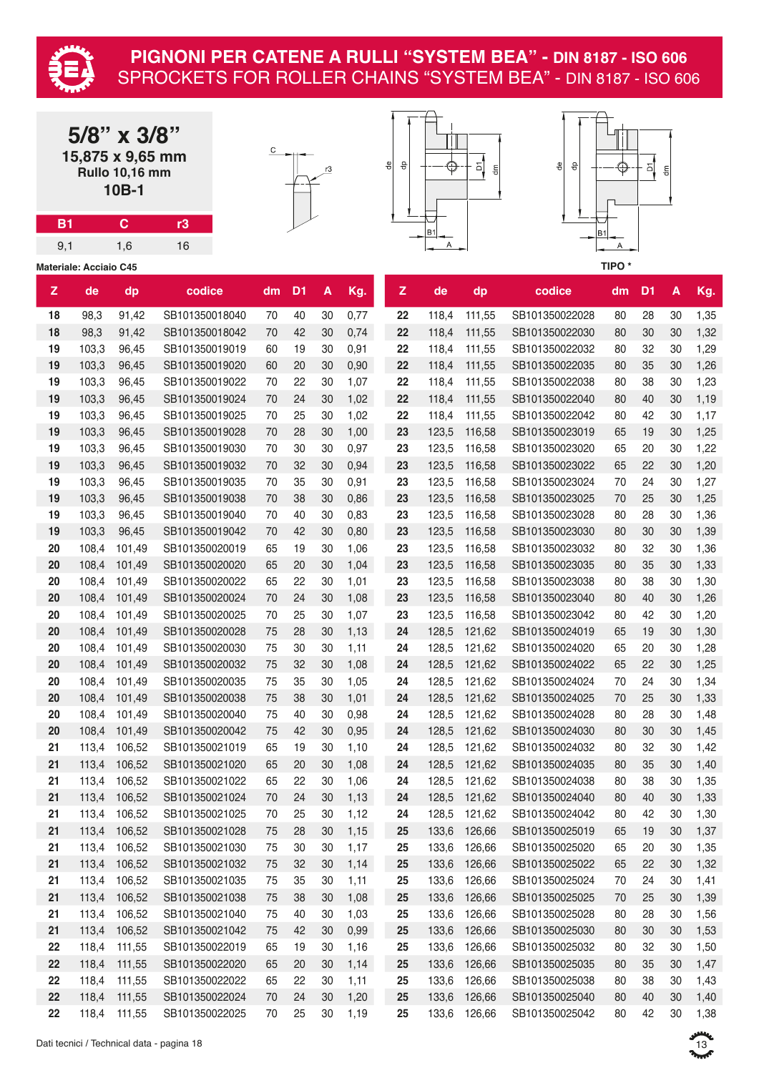

| <b>B1</b> |                               | $5/8$ " x $3/8$ "<br>15,875 x 9,65 mm<br><b>Rullo 10,16 mm</b><br>10B-1<br>$\mathbf{C}$ | r3                               | С        |                | r3       |              | ٩e | 융            | ⊕              | 히<br>$\mathop{\mathsf{f}}\nolimits$ | 용<br>융                           |                   | 의              | $\frac{E}{\sigma}$ |              |
|-----------|-------------------------------|-----------------------------------------------------------------------------------------|----------------------------------|----------|----------------|----------|--------------|----|--------------|----------------|-------------------------------------|----------------------------------|-------------------|----------------|--------------------|--------------|
|           |                               |                                                                                         |                                  |          |                |          |              |    |              | <b>B1</b>      |                                     | B1                               |                   |                |                    |              |
| 9,1       |                               | 1,6                                                                                     | 16                               |          |                |          |              |    |              | A              |                                     |                                  | Α                 |                |                    |              |
|           | <b>Materiale: Acciaio C45</b> |                                                                                         |                                  |          |                |          |              |    |              |                |                                     |                                  | TIPO <sup>*</sup> |                |                    |              |
| Z         | de                            | dp                                                                                      | codice                           | dm       | D <sub>1</sub> | A        | Kg.          |    | $\mathsf{z}$ | de             | dp                                  | codice                           | dm                | D <sub>1</sub> | A                  | Kg.          |
| 18        | 98,3                          | 91,42                                                                                   | SB101350018040                   | 70       | 40             | 30       | 0,77         |    | 22           | 118,4          | 111,55                              | SB101350022028                   | 80                | 28             | 30                 | 1,35         |
| 18        | 98,3                          | 91,42                                                                                   | SB101350018042                   | 70       | 42             | 30       | 0,74         |    | 22           | 118,4          | 111,55                              | SB101350022030                   | 80                | 30             | 30                 | 1,32         |
| 19        | 103,3                         | 96,45                                                                                   | SB101350019019                   | 60       | 19             | 30       | 0,91         |    | 22           | 118,4          | 111,55                              | SB101350022032                   | 80                | 32             | 30                 | 1,29         |
| 19        | 103,3                         | 96,45                                                                                   | SB101350019020                   | 60       | 20             | 30       | 0,90         |    | 22           | 118,4          | 111,55                              | SB101350022035                   | 80                | 35             | 30                 | 1,26         |
| 19        | 103,3                         | 96,45                                                                                   | SB101350019022                   | 70       | 22             | 30       | 1,07         |    | 22           | 118,4          | 111,55                              | SB101350022038                   | 80                | 38             | 30                 | 1,23         |
| 19        | 103,3                         | 96,45                                                                                   | SB101350019024                   | 70       | 24             | 30       | 1,02         |    | 22           | 118,4          | 111,55                              | SB101350022040                   | 80                | 40             | 30                 | 1,19         |
| 19        | 103,3                         | 96,45                                                                                   | SB101350019025                   | 70       | 25             | 30       | 1,02         |    | 22           | 118,4          | 111,55                              | SB101350022042                   | 80                | 42             | 30                 | 1,17         |
| 19        | 103,3                         | 96,45                                                                                   | SB101350019028                   | 70       | 28             | 30       | 1,00         |    | 23           | 123,5          | 116,58                              | SB101350023019                   | 65                | 19             | 30                 | 1,25         |
| 19        | 103,3                         | 96,45                                                                                   | SB101350019030                   | 70       | 30             | 30       | 0,97         |    | 23           | 123,5          | 116,58                              | SB101350023020                   | 65                | 20             | 30                 | 1,22         |
| 19        | 103,3                         | 96,45                                                                                   | SB101350019032                   | 70       | 32             | 30       | 0,94         |    | 23           | 123,5          | 116,58                              | SB101350023022                   | 65                | 22             | 30                 | 1,20         |
| 19        | 103,3                         | 96,45                                                                                   | SB101350019035                   | 70       | 35             | 30       | 0,91         |    | 23           | 123,5          | 116,58                              | SB101350023024                   | 70                | 24             | 30                 | 1,27         |
| 19        | 103,3                         | 96,45                                                                                   | SB101350019038                   | 70       | 38             | 30       | 0,86         |    | 23           | 123,5          | 116,58                              | SB101350023025                   | 70                | 25             | 30                 | 1,25         |
| 19        | 103,3                         | 96,45                                                                                   | SB101350019040                   | 70       | 40             | 30       | 0,83         |    | 23           | 123,5          | 116,58                              | SB101350023028                   | 80                | 28             | 30                 | 1,36         |
| 19        | 103,3                         | 96,45                                                                                   | SB101350019042                   | 70       | 42             | 30       | 0,80         |    | 23           | 123,5          | 116,58                              | SB101350023030                   | 80                | 30             | 30                 | 1,39         |
| 20        | 108,4                         | 101,49                                                                                  | SB101350020019                   | 65       | 19             | 30       | 1,06         |    | 23           | 123,5          | 116,58                              | SB101350023032                   | 80                | 32             | 30                 | 1,36         |
| 20        | 108,4                         | 101,49                                                                                  | SB101350020020                   | 65       | 20             | 30       | 1,04         |    | 23           | 123,5          | 116,58                              | SB101350023035                   | 80                | 35             | 30                 | 1,33         |
| 20        | 108,4                         | 101,49                                                                                  | SB101350020022                   | 65       | 22             | 30       | 1,01         |    | 23           | 123,5          | 116,58                              | SB101350023038                   | 80                | 38             | 30                 | 1,30         |
| 20        | 108,4                         | 101,49                                                                                  | SB101350020024                   | 70       | 24             | 30       | 1,08         |    | 23           | 123,5          | 116,58                              | SB101350023040                   | 80                | 40             | 30                 | 1,26         |
| 20        | 108,4                         | 101,49                                                                                  | SB101350020025                   | 70       | 25             | 30       | 1,07         |    | 23           | 123,5          | 116,58                              | SB101350023042                   | 80                | 42             | 30                 | 1,20         |
| 20        | 108,4                         | 101,49                                                                                  | SB101350020028                   | 75       | 28             | 30       | 1,13         |    | 24           | 128,5          | 121,62                              | SB101350024019                   | 65                | 19             | 30                 | 1,30         |
| 20        | 108,4                         | 101,49                                                                                  | SB101350020030                   | 75       | 30             | 30       | 1,11         |    | 24           | 128,5          | 121,62                              | SB101350024020                   | 65                | 20             | 30                 | 1,28         |
| 20        | 108,4                         | 101,49                                                                                  | SB101350020032                   | 75       | 32             | 30       | 1,08         |    | 24           | 128,5          | 121,62                              | SB101350024022                   | 65                | 22             | 30                 | 1,25         |
| 20        | 108,4                         | 101,49                                                                                  | SB101350020035                   | 75       | 35             | 30       | 1,05         |    | 24           | 128,5          | 121,62                              | SB101350024024                   | 70                | 24             | 30                 | 1,34         |
| 20        | 108,4                         | 101,49                                                                                  | SB101350020038                   | 75       | 38             | 30       | 1,01         |    | 24           | 128,5          | 121,62                              | SB101350024025                   | 70                | 25             | 30                 | 1,33         |
| 20        | 108,4                         | 101,49                                                                                  | SB101350020040                   | 75       | 40             | 30       | 0,98         |    | 24           | 128,5          | 121,62                              | SB101350024028                   | 80                | 28             | 30                 | 1,48         |
| 20        | 108,4                         | 101,49                                                                                  | SB101350020042                   | 75       | 42             | 30       | 0,95         |    | 24           | 128,5          | 121,62                              | SB101350024030                   | 80                | 30             | 30                 | 1,45         |
| 21        | 113,4                         | 106,52                                                                                  | SB101350021019                   | 65       | 19             | 30       | 1,10         |    | 24           | 128,5          | 121,62                              | SB101350024032                   | 80                | 32             | 30                 | 1,42         |
| 21        | 113,4                         | 106,52                                                                                  | SB101350021020                   | 65       | 20             | 30       | 1,08         |    | 24           | 128,5          | 121,62                              | SB101350024035                   | 80                | 35             | 30                 | 1,40         |
| 21        | 113,4                         | 106,52                                                                                  | SB101350021022                   | 65       | 22             | 30       | 1,06         |    | 24           | 128,5          | 121,62                              | SB101350024038                   | 80                | 38             | 30                 | 1,35         |
| 21        | 113,4                         | 106,52                                                                                  | SB101350021024                   | 70       | 24             | 30       | 1,13         |    | 24           | 128,5          | 121,62                              | SB101350024040                   | 80                | 40             | 30                 | 1,33         |
| 21        | 113,4                         | 106,52                                                                                  | SB101350021025                   | 70       | 25             | 30       | 1,12         |    | 24           | 128,5          | 121,62                              | SB101350024042                   | 80                | 42             | 30                 | 1,30         |
| 21        |                               | 113,4 106,52                                                                            | SB101350021028                   | 75       | 28             | 30       | 1,15         |    | 25           | 133,6          | 126,66                              | SB101350025019                   | 65                | 19             | 30                 | 1,37         |
| 21        | 113,4                         | 106,52                                                                                  | SB101350021030                   | 75       | 30             | 30       | 1,17         |    | 25           | 133,6          | 126,66                              | SB101350025020                   | 65                | 20             | 30                 | 1,35         |
| 21        | 113,4                         | 106,52                                                                                  | SB101350021032                   | 75       | 32             | 30       | 1,14         |    | 25           | 133,6          | 126,66                              | SB101350025022                   | 65                | 22             | 30                 | 1,32         |
| 21        | 113,4                         | 106,52                                                                                  | SB101350021035                   | 75       | 35             | 30       | 1,11         |    | 25           | 133,6          | 126,66                              | SB101350025024                   | 70                | 24             | 30                 | 1,41         |
| 21        | 113,4                         | 106,52                                                                                  | SB101350021038                   | 75       | 38             | 30       | 1,08         |    | 25           | 133,6          | 126,66                              | SB101350025025                   | 70                | 25             | 30                 | 1,39         |
| 21        | 113,4                         | 106,52                                                                                  | SB101350021040                   | 75       | 40             | 30       | 1,03         |    | 25           | 133,6          | 126,66                              | SB101350025028                   | 80                | 28             | 30                 | 1,56         |
| 21        | 113,4                         | 106,52                                                                                  | SB101350021042                   | 75       | 42             | 30       | 0,99         |    | 25           | 133,6          | 126,66                              | SB101350025030                   | 80                | 30             | 30                 | 1,53         |
| 22        | 118,4                         | 111,55                                                                                  | SB101350022019                   | 65       | 19             | 30       | 1,16         |    | 25           | 133,6          | 126,66                              | SB101350025032                   | 80                | 32             | 30                 | 1,50         |
| 22        | 118,4                         | 111,55                                                                                  | SB101350022020                   | 65       | 20             | 30       | 1,14         |    | 25           | 133,6          | 126,66                              | SB101350025035                   | 80                | 35             | 30                 | 1,47         |
| 22<br>22  | 118,4<br>118,4                | 111,55                                                                                  | SB101350022022<br>SB101350022024 | 65       | 22<br>24       | 30<br>30 | 1,11<br>1,20 |    | 25           | 133,6<br>133,6 | 126,66<br>126,66                    | SB101350025038<br>SB101350025040 | 80                | 38<br>40       | 30<br>30           | 1,43<br>1,40 |
| 22        | 118,4                         | 111,55<br>111,55                                                                        | SB101350022025                   | 70<br>70 | 25             | 30       | 1,19         |    | 25<br>25     | 133,6          | 126,66                              | SB101350025042                   | 80<br>80          | 42             | 30                 | 1,38         |
|           |                               |                                                                                         |                                  |          |                |          |              |    |              |                |                                     |                                  |                   |                |                    |              |

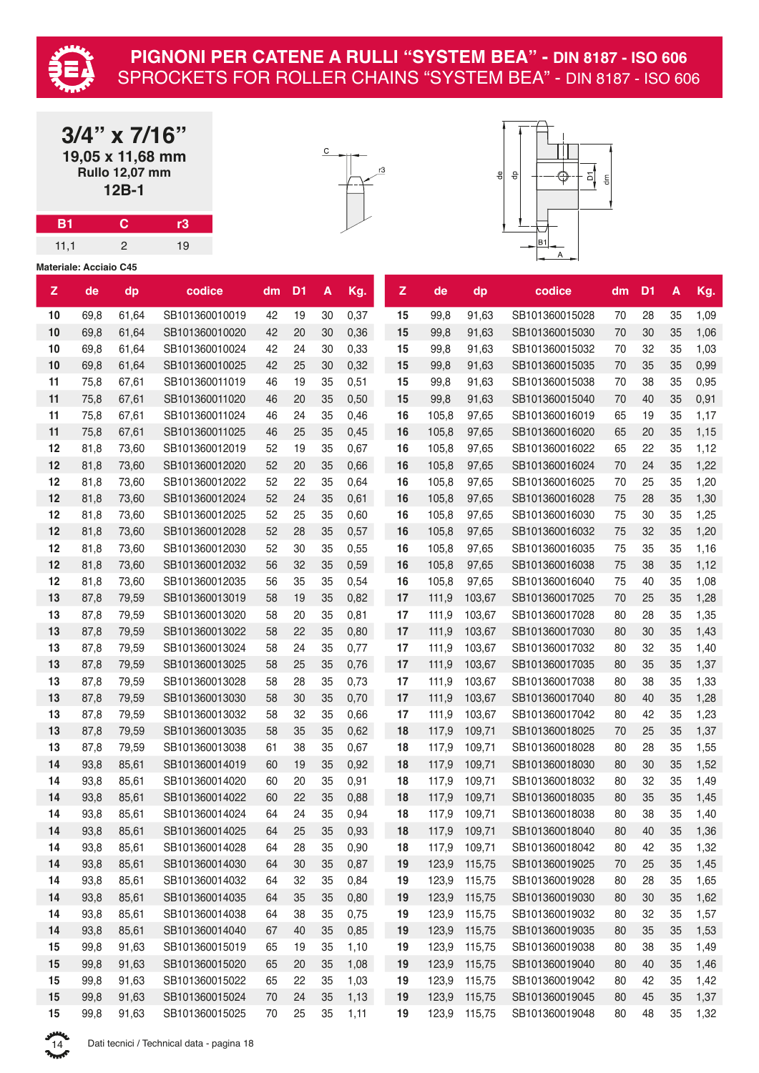

**3/4" x 7/16" 19,05 x 11,68 mm Rullo 12,07 mm 12B-1**

**B1 C r3** 11,1 2 19





|    | <b>Materiale: Acciaio C45</b> |       |                |    |                |    |         |              |       |              |                |    |                |        |      |
|----|-------------------------------|-------|----------------|----|----------------|----|---------|--------------|-------|--------------|----------------|----|----------------|--------|------|
| z  | de                            | dp    | codice         | dm | D <sub>1</sub> | A  | Kg.     | $\mathsf{Z}$ | de    | dp           | codice         | dm | D <sub>1</sub> | A      | Kg.  |
| 10 | 69,8                          | 61,64 | SB101360010019 | 42 | 19             | 30 | 0,37    | 15           | 99,8  | 91,63        | SB101360015028 | 70 | 28             | 35     | 1,09 |
| 10 | 69,8                          | 61,64 | SB101360010020 | 42 | 20             | 30 | 0,36    | 15           | 99,8  | 91,63        | SB101360015030 | 70 | 30             | 35     | 1,06 |
| 10 | 69,8                          | 61,64 | SB101360010024 | 42 | 24             | 30 | 0,33    | 15           | 99,8  | 91,63        | SB101360015032 | 70 | 32             | 35     | 1,03 |
| 10 | 69,8                          | 61,64 | SB101360010025 | 42 | 25             | 30 | 0,32    | 15           | 99,8  | 91,63        | SB101360015035 | 70 | 35             | 35     | 0,99 |
| 11 | 75,8                          | 67,61 | SB101360011019 | 46 | 19             | 35 | 0,51    | 15           | 99,8  | 91,63        | SB101360015038 | 70 | 38             | 35     | 0,95 |
| 11 | 75,8                          | 67,61 | SB101360011020 | 46 | 20             | 35 | 0,50    | 15           | 99,8  | 91,63        | SB101360015040 | 70 | 40             | 35     | 0,91 |
| 11 | 75,8                          | 67,61 | SB101360011024 | 46 | 24             | 35 | 0,46    | 16           | 105,8 | 97,65        | SB101360016019 | 65 | 19             | 35     | 1,17 |
| 11 | 75,8                          | 67,61 | SB101360011025 | 46 | 25             | 35 | 0,45    | 16           | 105,8 | 97,65        | SB101360016020 | 65 | 20             | 35     | 1,15 |
| 12 | 81,8                          | 73,60 | SB101360012019 | 52 | 19             | 35 | 0,67    | 16           | 105,8 | 97,65        | SB101360016022 | 65 | 22             | 35     | 1,12 |
| 12 | 81,8                          | 73,60 | SB101360012020 | 52 | 20             | 35 | 0,66    | 16           | 105,8 | 97,65        | SB101360016024 | 70 | 24             | 35     | 1,22 |
| 12 | 81,8                          | 73,60 | SB101360012022 | 52 | 22             | 35 | 0,64    | 16           | 105,8 | 97,65        | SB101360016025 | 70 | 25             | 35     | 1,20 |
| 12 | 81,8                          | 73,60 | SB101360012024 | 52 | 24             | 35 | 0,61    | 16           | 105,8 | 97,65        | SB101360016028 | 75 | 28             | 35     | 1,30 |
| 12 | 81,8                          | 73,60 | SB101360012025 | 52 | 25             | 35 | 0,60    | 16           | 105,8 | 97,65        | SB101360016030 | 75 | 30             | 35     | 1,25 |
| 12 | 81,8                          | 73,60 | SB101360012028 | 52 | 28             | 35 | 0,57    | 16           | 105,8 | 97,65        | SB101360016032 | 75 | 32             | 35     | 1,20 |
| 12 | 81,8                          | 73,60 | SB101360012030 | 52 | 30             | 35 | 0,55    | 16           | 105,8 | 97,65        | SB101360016035 | 75 | 35             | 35     | 1,16 |
| 12 | 81,8                          | 73,60 | SB101360012032 | 56 | 32             | 35 | 0,59    | 16           | 105,8 | 97,65        | SB101360016038 | 75 | 38             | 35     | 1,12 |
| 12 | 81,8                          | 73,60 | SB101360012035 | 56 | 35             | 35 | 0,54    | 16           | 105,8 | 97,65        | SB101360016040 | 75 | 40             | 35     | 1,08 |
| 13 | 87,8                          | 79,59 | SB101360013019 | 58 | 19             | 35 | 0,82    | 17           | 111,9 | 103,67       | SB101360017025 | 70 | 25             | 35     | 1,28 |
| 13 | 87,8                          | 79,59 | SB101360013020 | 58 | 20             | 35 | 0,81    | 17           | 111,9 | 103,67       | SB101360017028 | 80 | 28             | 35     | 1,35 |
| 13 | 87,8                          | 79,59 | SB101360013022 | 58 | 22             | 35 | 0,80    | 17           | 111,9 | 103,67       | SB101360017030 | 80 | 30             | 35     | 1,43 |
| 13 | 87,8                          | 79,59 | SB101360013024 | 58 | 24             | 35 | 0,77    | 17           | 111,9 | 103,67       | SB101360017032 | 80 | 32             | 35     | 1,40 |
| 13 | 87,8                          | 79,59 | SB101360013025 | 58 | 25             | 35 | 0,76    | 17           | 111,9 | 103,67       | SB101360017035 | 80 | 35             | 35     | 1,37 |
| 13 | 87,8                          | 79,59 | SB101360013028 | 58 | 28             | 35 | 0,73    | 17           | 111,9 | 103,67       | SB101360017038 | 80 | 38             | 35     | 1,33 |
| 13 | 87,8                          | 79,59 | SB101360013030 | 58 | 30             | 35 | 0,70    | 17           | 111,9 | 103,67       | SB101360017040 | 80 | 40             | 35     | 1,28 |
| 13 | 87,8                          | 79,59 | SB101360013032 | 58 | 32             | 35 | 0,66    | 17           | 111,9 | 103,67       | SB101360017042 | 80 | 42             | 35     | 1,23 |
| 13 | 87,8                          | 79,59 | SB101360013035 | 58 | 35             | 35 | 0,62    | 18           | 117,9 | 109,71       | SB101360018025 | 70 | 25             | 35     | 1,37 |
| 13 | 87,8                          | 79,59 | SB101360013038 | 61 | 38             | 35 | 0,67    | 18           | 117,9 | 109,71       | SB101360018028 | 80 | 28             | 35     | 1,55 |
| 14 | 93,8                          | 85,61 | SB101360014019 | 60 | 19             | 35 | 0,92    | 18           | 117,9 | 109,71       | SB101360018030 | 80 | 30             | 35     | 1,52 |
| 14 | 93,8                          | 85,61 | SB101360014020 | 60 | 20             | 35 | 0,91    | 18           | 117,9 | 109,71       | SB101360018032 | 80 | 32             | 35     | 1,49 |
| 14 | 93,8                          | 85,61 | SB101360014022 | 60 | 22             | 35 | 0,88    | 18           | 117,9 | 109,71       | SB101360018035 | 80 | 35             | 35     | 1,45 |
| 14 | 93,8                          | 85,61 | SB101360014024 | 64 | 24             | 35 | 0,94    | 18           | 117,9 | 109,71       | SB101360018038 | 80 | 38             | 35     | 1,40 |
| 14 | 93,8                          | 85,61 | SB101360014025 | 64 | 25             |    | 35 0,93 | 18           |       | 117,9 109,71 | SB101360018040 | 80 | 40             | $35\,$ | 1,36 |
| 14 | 93,8                          | 85,61 | SB101360014028 | 64 | 28             | 35 | 0,90    | 18           | 117,9 | 109,71       | SB101360018042 | 80 | 42             | 35     | 1,32 |
| 14 | 93,8                          | 85,61 | SB101360014030 | 64 | 30             | 35 | 0,87    | 19           | 123,9 | 115,75       | SB101360019025 | 70 | 25             | 35     | 1,45 |
| 14 | 93,8                          | 85,61 | SB101360014032 | 64 | 32             | 35 | 0,84    | 19           | 123,9 | 115,75       | SB101360019028 | 80 | 28             | 35     | 1,65 |
| 14 | 93,8                          | 85,61 | SB101360014035 | 64 | 35             | 35 | 0,80    | 19           | 123,9 | 115,75       | SB101360019030 | 80 | 30             | 35     | 1,62 |
| 14 | 93,8                          | 85,61 | SB101360014038 | 64 | 38             | 35 | 0,75    | 19           | 123,9 | 115,75       | SB101360019032 | 80 | 32             | 35     | 1,57 |
| 14 | 93,8                          | 85,61 | SB101360014040 | 67 | 40             | 35 | 0,85    | 19           | 123,9 | 115,75       | SB101360019035 | 80 | 35             | 35     | 1,53 |
| 15 | 99,8                          | 91,63 | SB101360015019 | 65 | 19             | 35 | 1,10    | 19           | 123,9 | 115,75       | SB101360019038 | 80 | 38             | 35     | 1,49 |
| 15 | 99,8                          | 91,63 | SB101360015020 | 65 | 20             | 35 | 1,08    | 19           | 123,9 | 115,75       | SB101360019040 | 80 | 40             | 35     | 1,46 |
| 15 | 99,8                          | 91,63 | SB101360015022 | 65 | 22             | 35 | 1,03    | 19           | 123,9 | 115,75       | SB101360019042 | 80 | 42             | 35     | 1,42 |
| 15 | 99,8                          | 91,63 | SB101360015024 | 70 | 24             | 35 | 1,13    | 19           | 123,9 | 115,75       | SB101360019045 | 80 | 45             | 35     | 1,37 |
| 15 | 99,8                          | 91,63 | SB101360015025 | 70 | 25             | 35 | 1,11    | 19           | 123,9 | 115,75       | SB101360019048 | 80 | 48             | 35     | 1,32 |

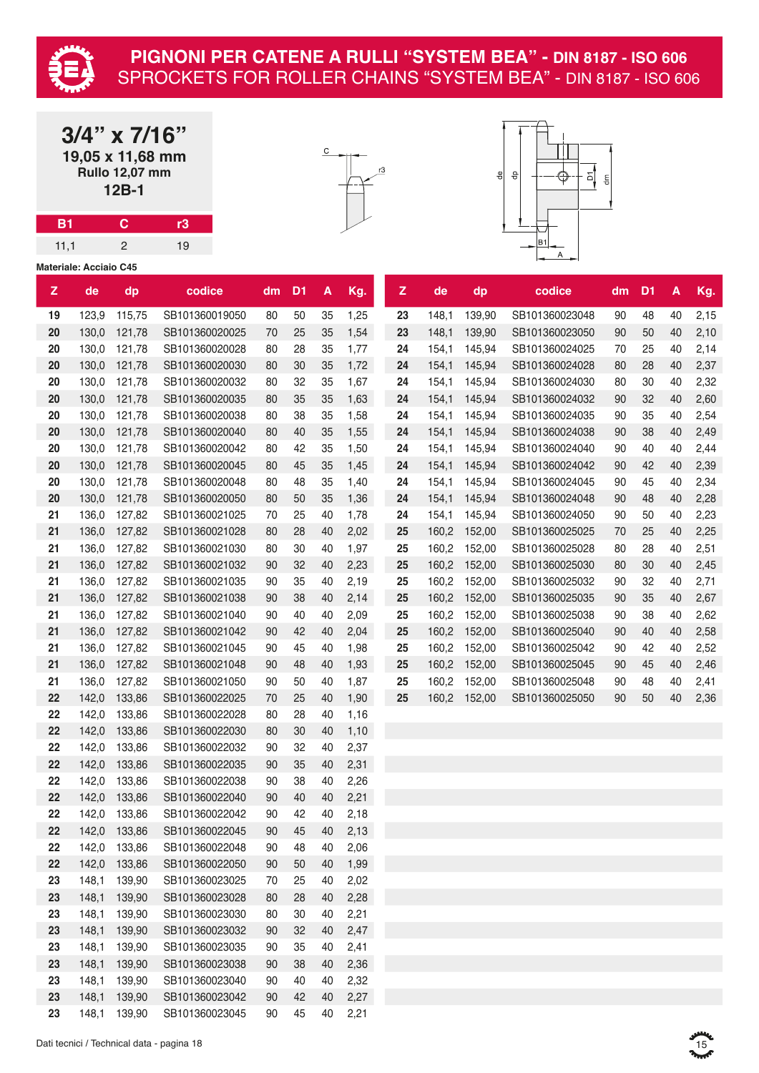

**3/4" x 7/16" 19,05 x 11,68 mm Rullo 12,07 mm 12B-1**

**B1 C r3** 11,1 2 19





|              | <b>Materiale: Acciaio C45</b> |              |                |    |                |    |         |              |       |              |                |    |                |    |      |
|--------------|-------------------------------|--------------|----------------|----|----------------|----|---------|--------------|-------|--------------|----------------|----|----------------|----|------|
| $\mathbf{z}$ | de                            | dp           | codice         | dm | D <sub>1</sub> | A  | Kg.     | $\mathbf{z}$ | de    | dp           | codice         | dm | D <sub>1</sub> | A  | Kg.  |
| 19           | 123,9                         | 115,75       | SB101360019050 | 80 | 50             | 35 | 1,25    | 23           | 148,1 | 139,90       | SB101360023048 | 90 | 48             | 40 | 2,15 |
| 20           | 130,0                         | 121,78       | SB101360020025 | 70 | 25             | 35 | 1,54    | 23           | 148,1 | 139,90       | SB101360023050 | 90 | 50             | 40 | 2,10 |
| 20           | 130,0                         | 121,78       | SB101360020028 | 80 | 28             | 35 | 1,77    | 24           | 154,1 | 145,94       | SB101360024025 | 70 | 25             | 40 | 2,14 |
| 20           | 130,0                         | 121,78       | SB101360020030 | 80 | 30             | 35 | 1,72    | 24           | 154,1 | 145,94       | SB101360024028 | 80 | 28             | 40 | 2,37 |
| 20           | 130,0                         | 121,78       | SB101360020032 | 80 | 32             | 35 | 1,67    | 24           | 154,1 | 145,94       | SB101360024030 | 80 | 30             | 40 | 2,32 |
| 20           | 130,0                         | 121,78       | SB101360020035 | 80 | 35             | 35 | 1,63    | 24           | 154,1 | 145,94       | SB101360024032 | 90 | 32             | 40 | 2,60 |
| 20           | 130,0                         | 121,78       | SB101360020038 | 80 | 38             | 35 | 1,58    | 24           | 154,1 | 145,94       | SB101360024035 | 90 | 35             | 40 | 2,54 |
| 20           | 130,0                         | 121,78       | SB101360020040 | 80 | 40             | 35 | 1,55    | 24           | 154,1 | 145,94       | SB101360024038 | 90 | 38             | 40 | 2,49 |
| 20           | 130,0                         | 121,78       | SB101360020042 | 80 | 42             | 35 | 1,50    | 24           | 154,1 | 145,94       | SB101360024040 | 90 | 40             | 40 | 2,44 |
| 20           | 130,0                         | 121,78       | SB101360020045 | 80 | 45             | 35 | 1,45    | 24           | 154,1 | 145,94       | SB101360024042 | 90 | 42             | 40 | 2,39 |
| 20           | 130,0                         | 121,78       | SB101360020048 | 80 | 48             | 35 | 1,40    | 24           | 154,1 | 145,94       | SB101360024045 | 90 | 45             | 40 | 2,34 |
| 20           | 130,0                         | 121,78       | SB101360020050 | 80 | 50             | 35 | 1,36    | 24           | 154,1 | 145,94       | SB101360024048 | 90 | 48             | 40 | 2,28 |
| 21           | 136,0                         | 127,82       | SB101360021025 | 70 | 25             | 40 | 1,78    | 24           | 154,1 | 145,94       | SB101360024050 | 90 | 50             | 40 | 2,23 |
| 21           | 136,0                         | 127,82       | SB101360021028 | 80 | 28             | 40 | 2,02    | 25           |       | 160,2 152,00 | SB101360025025 | 70 | 25             | 40 | 2,25 |
| 21           | 136,0                         | 127,82       | SB101360021030 | 80 | 30             | 40 | 1,97    | 25           | 160,2 | 152,00       | SB101360025028 | 80 | 28             | 40 | 2,51 |
| 21           | 136,0                         | 127,82       | SB101360021032 | 90 | 32             | 40 | 2,23    | 25           | 160,2 | 152,00       | SB101360025030 | 80 | 30             | 40 | 2,45 |
| 21           | 136,0                         | 127,82       | SB101360021035 | 90 | 35             | 40 | 2,19    | 25           | 160,2 | 152,00       | SB101360025032 | 90 | 32             | 40 | 2,71 |
| 21           | 136,0                         | 127,82       | SB101360021038 | 90 | 38             | 40 | 2,14    | 25           | 160,2 | 152,00       | SB101360025035 | 90 | 35             | 40 | 2,67 |
| 21           | 136,0                         | 127,82       | SB101360021040 | 90 | 40             | 40 | 2,09    | 25           | 160,2 | 152,00       | SB101360025038 | 90 | 38             | 40 | 2,62 |
| 21           | 136,0                         | 127,82       | SB101360021042 | 90 | 42             | 40 | 2,04    | 25           |       | 160,2 152,00 | SB101360025040 | 90 | 40             | 40 | 2,58 |
| 21           | 136,0                         | 127,82       | SB101360021045 | 90 | 45             | 40 | 1,98    | 25           | 160,2 | 152,00       | SB101360025042 | 90 | 42             | 40 | 2,52 |
| 21           | 136,0                         | 127,82       | SB101360021048 | 90 | 48             | 40 | 1,93    | 25           |       | 160,2 152,00 | SB101360025045 | 90 | 45             | 40 | 2,46 |
| 21           | 136,0                         | 127,82       | SB101360021050 | 90 | 50             | 40 | 1,87    | 25           | 160,2 | 152,00       | SB101360025048 | 90 | 48             | 40 | 2,41 |
| 22           | 142,0                         | 133,86       | SB101360022025 | 70 | 25             | 40 | 1,90    | 25           |       | 160,2 152,00 | SB101360025050 | 90 | 50             | 40 | 2,36 |
| 22           | 142,0                         | 133,86       | SB101360022028 | 80 | 28             | 40 | 1,16    |              |       |              |                |    |                |    |      |
| 22           | 142,0                         | 133,86       | SB101360022030 | 80 | 30             | 40 | 1,10    |              |       |              |                |    |                |    |      |
| 22           | 142,0                         | 133,86       | SB101360022032 | 90 | 32             | 40 | 2,37    |              |       |              |                |    |                |    |      |
| 22           | 142,0                         | 133,86       | SB101360022035 | 90 | 35             | 40 | 2,31    |              |       |              |                |    |                |    |      |
| 22           | 142,0                         | 133,86       | SB101360022038 | 90 | 38             | 40 | 2,26    |              |       |              |                |    |                |    |      |
| 22           | 142,0                         | 133,86       | SB101360022040 | 90 | 40             | 40 | 2,21    |              |       |              |                |    |                |    |      |
| 22           |                               | 142,0 133,86 | SB101360022042 | 90 | 42             | 40 | 2,18    |              |       |              |                |    |                |    |      |
| 22           |                               | 142,0 133,86 | SB101360022045 | 90 | 45             |    | 40 2,13 |              |       |              |                |    |                |    |      |
| 22           | 142,0                         | 133,86       | SB101360022048 | 90 | 48             | 40 | 2,06    |              |       |              |                |    |                |    |      |
| 22           | 142,0                         | 133,86       | SB101360022050 | 90 | 50             | 40 | 1,99    |              |       |              |                |    |                |    |      |
| 23           | 148,1                         | 139,90       | SB101360023025 | 70 | 25             | 40 | 2,02    |              |       |              |                |    |                |    |      |
| 23           | 148,1                         | 139,90       | SB101360023028 | 80 | 28             | 40 | 2,28    |              |       |              |                |    |                |    |      |
| 23           | 148,1                         | 139,90       | SB101360023030 | 80 | 30             | 40 | 2,21    |              |       |              |                |    |                |    |      |
| 23           | 148,1                         | 139,90       | SB101360023032 | 90 | 32             | 40 | 2,47    |              |       |              |                |    |                |    |      |
| 23           | 148,1                         | 139,90       | SB101360023035 | 90 | 35             | 40 | 2,41    |              |       |              |                |    |                |    |      |
| 23           | 148,1                         | 139,90       | SB101360023038 | 90 | 38             | 40 | 2,36    |              |       |              |                |    |                |    |      |
| 23           | 148,1                         | 139,90       | SB101360023040 | 90 | 40             | 40 | 2,32    |              |       |              |                |    |                |    |      |
| 23           | 148,1                         | 139,90       | SB101360023042 | 90 | 42             | 40 | 2,27    |              |       |              |                |    |                |    |      |
| 23           | 148,1                         | 139,90       | SB101360023045 | 90 | 45             | 40 | 2,21    |              |       |              |                |    |                |    |      |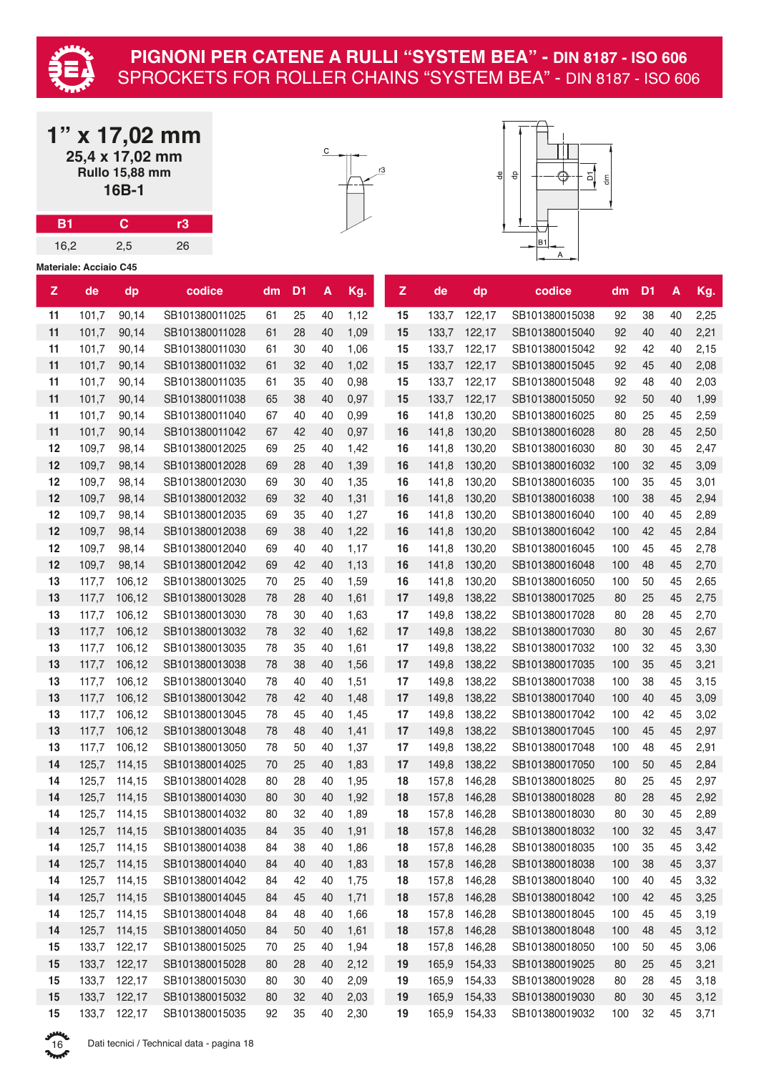

| $1"$ x 17,02 mm       |
|-----------------------|
| 25,4 x 17,02 mm       |
| <b>Rullo 15,88 mm</b> |
| $16B-1$               |

**B1 C r3** 16,2 2,5 26





|    | <b>Materiale: Acciaio C45</b> |              |                |    |                |    |      |    |       |              |                |     |                |    |      |
|----|-------------------------------|--------------|----------------|----|----------------|----|------|----|-------|--------------|----------------|-----|----------------|----|------|
| z  | de                            | dp           | codice         | dm | D <sub>1</sub> | A  | Kg.  | Z  | de    | dp           | codice         | dm  | D <sub>1</sub> | A  | Kg.  |
| 11 | 101,7                         | 90,14        | SB101380011025 | 61 | 25             | 40 | 1,12 | 15 | 133,7 | 122,17       | SB101380015038 | 92  | 38             | 40 | 2,25 |
| 11 | 101,7                         | 90,14        | SB101380011028 | 61 | 28             | 40 | 1,09 | 15 | 133,7 | 122,17       | SB101380015040 | 92  | 40             | 40 | 2,21 |
| 11 | 101,7                         | 90,14        | SB101380011030 | 61 | 30             | 40 | 1,06 | 15 | 133,7 | 122,17       | SB101380015042 | 92  | 42             | 40 | 2,15 |
| 11 | 101,7                         | 90,14        | SB101380011032 | 61 | 32             | 40 | 1,02 | 15 | 133,7 | 122,17       | SB101380015045 | 92  | 45             | 40 | 2,08 |
| 11 | 101,7                         | 90,14        | SB101380011035 | 61 | 35             | 40 | 0,98 | 15 | 133,7 | 122,17       | SB101380015048 | 92  | 48             | 40 | 2,03 |
| 11 | 101,7                         | 90,14        | SB101380011038 | 65 | 38             | 40 | 0,97 | 15 | 133,7 | 122,17       | SB101380015050 | 92  | 50             | 40 | 1,99 |
| 11 | 101,7                         | 90,14        | SB101380011040 | 67 | 40             | 40 | 0,99 | 16 | 141,8 | 130,20       | SB101380016025 | 80  | 25             | 45 | 2,59 |
| 11 | 101,7                         | 90,14        | SB101380011042 | 67 | 42             | 40 | 0,97 | 16 | 141,8 | 130,20       | SB101380016028 | 80  | 28             | 45 | 2,50 |
| 12 | 109,7                         | 98,14        | SB101380012025 | 69 | 25             | 40 | 1,42 | 16 | 141,8 | 130,20       | SB101380016030 | 80  | 30             | 45 | 2,47 |
| 12 | 109,7                         | 98,14        | SB101380012028 | 69 | 28             | 40 | 1,39 | 16 | 141,8 | 130,20       | SB101380016032 | 100 | 32             | 45 | 3,09 |
| 12 | 109,7                         | 98,14        | SB101380012030 | 69 | 30             | 40 | 1,35 | 16 | 141,8 | 130,20       | SB101380016035 | 100 | 35             | 45 | 3,01 |
| 12 | 109,7                         | 98,14        | SB101380012032 | 69 | 32             | 40 | 1,31 | 16 | 141,8 | 130,20       | SB101380016038 | 100 | 38             | 45 | 2,94 |
| 12 | 109,7                         | 98,14        | SB101380012035 | 69 | 35             | 40 | 1,27 | 16 | 141,8 | 130,20       | SB101380016040 | 100 | 40             | 45 | 2,89 |
| 12 | 109,7                         | 98,14        | SB101380012038 | 69 | 38             | 40 | 1,22 | 16 | 141,8 | 130,20       | SB101380016042 | 100 | 42             | 45 | 2,84 |
| 12 | 109,7                         | 98,14        | SB101380012040 | 69 | 40             | 40 | 1,17 | 16 | 141,8 | 130,20       | SB101380016045 | 100 | 45             | 45 | 2,78 |
| 12 | 109,7                         | 98,14        | SB101380012042 | 69 | 42             | 40 | 1,13 | 16 | 141,8 | 130,20       | SB101380016048 | 100 | 48             | 45 | 2,70 |
| 13 | 117,7                         | 106.12       | SB101380013025 | 70 | 25             | 40 | 1,59 | 16 | 141,8 | 130,20       | SB101380016050 | 100 | 50             | 45 | 2,65 |
| 13 | 117,7                         | 106,12       | SB101380013028 | 78 | 28             | 40 | 1,61 | 17 | 149,8 | 138,22       | SB101380017025 | 80  | 25             | 45 | 2,75 |
| 13 | 117,7                         | 106,12       | SB101380013030 | 78 | $30\,$         | 40 | 1,63 | 17 | 149,8 | 138,22       | SB101380017028 | 80  | 28             | 45 | 2,70 |
| 13 | 117,7                         | 106,12       | SB101380013032 | 78 | 32             | 40 | 1,62 | 17 | 149,8 | 138,22       | SB101380017030 | 80  | 30             | 45 | 2,67 |
| 13 | 117,7                         | 106,12       | SB101380013035 | 78 | 35             | 40 | 1,61 | 17 | 149,8 | 138,22       | SB101380017032 | 100 | 32             | 45 | 3,30 |
| 13 | 117,7                         | 106,12       | SB101380013038 | 78 | 38             | 40 | 1,56 | 17 | 149,8 | 138,22       | SB101380017035 | 100 | 35             | 45 | 3,21 |
| 13 | 117,7                         | 106,12       | SB101380013040 | 78 | 40             | 40 | 1,51 | 17 | 149,8 | 138,22       | SB101380017038 | 100 | 38             | 45 | 3,15 |
| 13 | 117,7                         | 106,12       | SB101380013042 | 78 | 42             | 40 | 1,48 | 17 | 149,8 | 138,22       | SB101380017040 | 100 | 40             | 45 | 3,09 |
| 13 | 117,7                         | 106,12       | SB101380013045 | 78 | 45             | 40 | 1,45 | 17 | 149,8 | 138,22       | SB101380017042 | 100 | 42             | 45 | 3,02 |
| 13 | 117,7                         | 106,12       | SB101380013048 | 78 | 48             | 40 | 1,41 | 17 | 149,8 | 138,22       | SB101380017045 | 100 | 45             | 45 | 2,97 |
| 13 | 117,7                         | 106,12       | SB101380013050 | 78 | 50             | 40 | 1,37 | 17 | 149,8 | 138,22       | SB101380017048 | 100 | 48             | 45 | 2,91 |
| 14 | 125,7                         | 114,15       | SB101380014025 | 70 | 25             | 40 | 1,83 | 17 | 149,8 | 138,22       | SB101380017050 | 100 | 50             | 45 | 2,84 |
| 14 | 125,7                         | 114,15       | SB101380014028 | 80 | 28             | 40 | 1,95 | 18 | 157,8 | 146,28       | SB101380018025 | 80  | 25             | 45 | 2,97 |
| 14 | 125,7                         | 114,15       | SB101380014030 | 80 | 30             | 40 | 1,92 | 18 | 157,8 | 146,28       | SB101380018028 | 80  | 28             | 45 | 2,92 |
| 14 | 125,7                         | 114,15       | SB101380014032 | 80 | 32             | 40 | 1,89 | 18 | 157,8 | 146,28       | SB101380018030 | 80  | 30             | 45 | 2,89 |
| 14 | 125,7                         | 114,15       | SB101380014035 | 84 | 35             | 40 | 1,91 | 18 | 157,8 | 146.28       | SB101380018032 | 100 | 32             | 45 | 3,47 |
| 14 | 125,7                         | 114,15       | SB101380014038 | 84 | 38             | 40 | 1,86 | 18 | 157,8 | 146,28       | SB101380018035 | 100 | 35             | 45 | 3,42 |
| 14 | 125,7                         | 114,15       | SB101380014040 | 84 | 40             | 40 | 1,83 | 18 | 157,8 | 146,28       | SB101380018038 | 100 | 38             | 45 | 3,37 |
| 14 | 125,7                         | 114,15       | SB101380014042 | 84 | 42             | 40 | 1,75 | 18 | 157,8 | 146,28       | SB101380018040 | 100 | 40             | 45 | 3,32 |
| 14 | 125,7                         | 114,15       | SB101380014045 | 84 | 45             | 40 | 1,71 | 18 |       | 157,8 146,28 | SB101380018042 | 100 | 42             | 45 | 3,25 |
| 14 | 125,7                         | 114,15       | SB101380014048 | 84 | 48             | 40 | 1,66 | 18 | 157,8 | 146,28       | SB101380018045 | 100 | 45             | 45 | 3,19 |
| 14 | 125,7                         | 114,15       | SB101380014050 | 84 | 50             | 40 | 1,61 | 18 | 157,8 | 146,28       | SB101380018048 | 100 | 48             | 45 | 3,12 |
| 15 | 133,7                         | 122,17       | SB101380015025 | 70 | 25             | 40 | 1,94 | 18 | 157,8 | 146,28       | SB101380018050 | 100 | 50             | 45 | 3,06 |
| 15 | 133,7                         | 122,17       | SB101380015028 | 80 | 28             | 40 | 2,12 | 19 | 165,9 | 154,33       | SB101380019025 | 80  | 25             | 45 | 3,21 |
| 15 | 133,7                         | 122,17       | SB101380015030 | 80 | 30             | 40 | 2,09 | 19 | 165,9 | 154,33       | SB101380019028 | 80  | 28             | 45 | 3,18 |
| 15 |                               | 133,7 122,17 | SB101380015032 | 80 | 32             | 40 | 2,03 | 19 | 165,9 | 154,33       | SB101380019030 | 80  | 30             | 45 | 3,12 |
| 15 |                               | 133,7 122,17 | SB101380015035 | 92 | 35             | 40 | 2,30 | 19 | 165,9 | 154,33       | SB101380019032 | 100 | 32             | 45 | 3,71 |

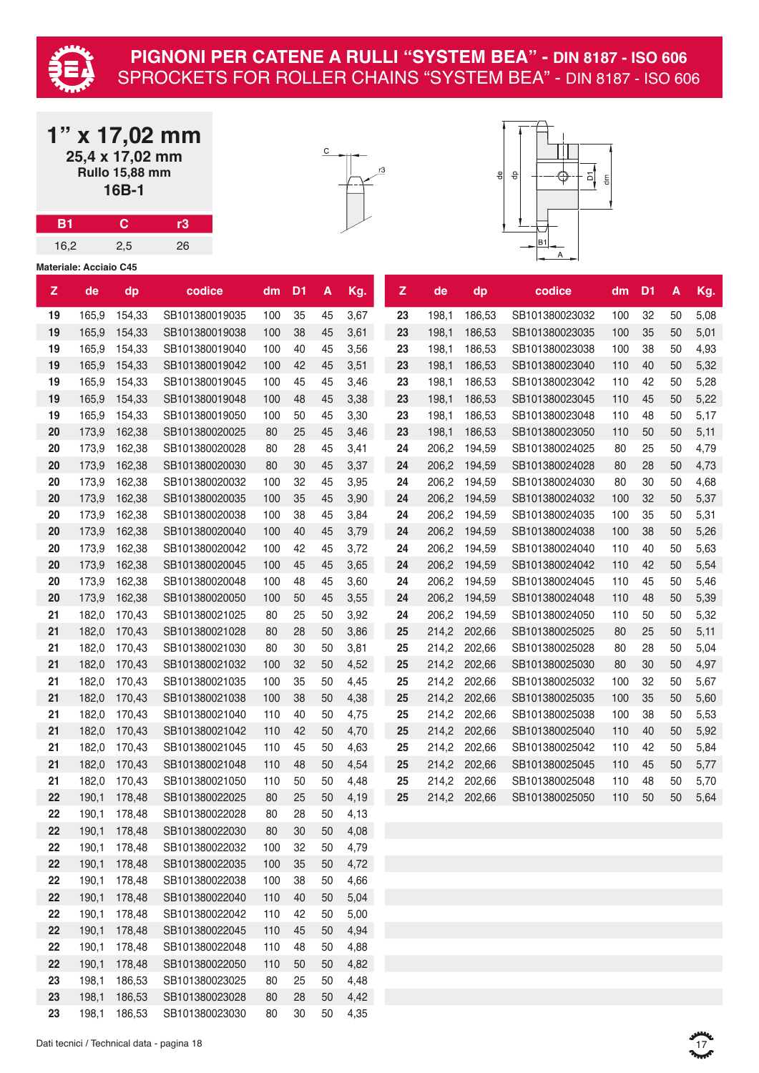

**1" x 17,02 mm 25,4 x 17,02 mm**

#### **PIGNONI PER CATENE A RULLI "SYSTEM BEA" - DIN 8187 - ISO 606** SPROCKETS FOR ROLLER CHAINS "SYSTEM BEA" - DIN 8187 - ISO 606

|           |                               | A 17,956 H<br>25,4 x 17,02 mm<br><b>Rullo 15,88 mm</b><br>16B-1 |                |     |                |                    |      |  |                    | 학<br>융<br>읭<br>$\mathop{\mathsf{g}}\nolimits$ |                              |                                  |            |                |          |      |
|-----------|-------------------------------|-----------------------------------------------------------------|----------------|-----|----------------|--------------------|------|--|--------------------|-----------------------------------------------|------------------------------|----------------------------------|------------|----------------|----------|------|
| <b>B1</b> |                               | $\mathbf C$                                                     | r3             |     |                |                    |      |  |                    |                                               |                              |                                  |            |                |          |      |
| 16,2      |                               | 2,5                                                             | 26             |     |                |                    |      |  |                    |                                               |                              | Β1                               |            |                |          |      |
|           | <b>Materiale: Acciaio C45</b> |                                                                 |                |     |                |                    |      |  |                    |                                               |                              |                                  |            |                |          |      |
| Z         | de                            | dp                                                              | codice         | dm  | D <sub>1</sub> | $\pmb{\mathsf{A}}$ | Kg.  |  | $\mathbf{Z}% _{0}$ | de                                            | dp                           | codice                           | dm         | D <sub>1</sub> | A        | Kg.  |
| 19        | 165,9                         | 154,33                                                          | SB101380019035 | 100 | 35             | 45                 | 3,67 |  | 23                 | 198,1                                         | 186,53                       | SB101380023032                   | 100        | 32             | 50       | 5,08 |
| 19        | 165,9                         | 154,33                                                          | SB101380019038 | 100 | 38             | 45                 | 3,61 |  | 23                 | 198,1                                         | 186,53                       | SB101380023035                   | 100        | 35             | 50       | 5,01 |
| 19        | 165,9                         | 154,33                                                          | SB101380019040 | 100 | 40             | 45                 | 3,56 |  | 23                 | 198,1                                         | 186,53                       | SB101380023038                   | 100        | 38             | 50       | 4,93 |
| 19        | 165,9                         | 154,33                                                          | SB101380019042 | 100 | 42             | 45                 | 3,51 |  | 23                 | 198,1                                         | 186,53                       | SB101380023040                   | 110        | 40             | 50       | 5,32 |
| 19        | 165,9                         | 154,33                                                          | SB101380019045 | 100 | 45             | 45                 | 3,46 |  | 23                 | 198,1                                         | 186,53                       | SB101380023042                   | 110        | 42             | 50       | 5,28 |
| 19        | 165,9                         | 154,33                                                          | SB101380019048 | 100 | 48             | 45                 | 3,38 |  | 23                 | 198,1                                         | 186,53                       | SB101380023045                   | 110        | 45             | 50       | 5,22 |
| 19        | 165,9                         | 154,33                                                          | SB101380019050 | 100 | 50             | 45                 | 3,30 |  | 23                 | 198,1                                         | 186,53                       | SB101380023048                   | 110        | 48             | 50       | 5,17 |
| 20        | 173,9                         | 162,38                                                          | SB101380020025 | 80  | 25             | 45                 | 3,46 |  | 23                 | 198,1                                         | 186,53                       | SB101380023050                   | 110        | 50             | 50       | 5,11 |
| 20        | 173,9                         | 162,38                                                          | SB101380020028 | 80  | 28             | 45                 | 3,41 |  | 24                 | 206,2                                         | 194,59                       | SB101380024025                   | 80         | 25             | 50       | 4,79 |
| 20        | 173,9                         | 162,38                                                          | SB101380020030 | 80  | 30             | 45                 | 3,37 |  | 24                 | 206,2                                         | 194,59                       | SB101380024028                   | 80         | 28             | 50       | 4,73 |
| 20        | 173,9                         | 162,38                                                          | SB101380020032 | 100 | 32             | 45                 | 3,95 |  | 24                 | 206,2                                         | 194,59                       | SB101380024030                   | 80         | 30             | 50       | 4,68 |
| 20        | 173,9                         | 162,38                                                          | SB101380020035 | 100 | 35             | 45                 | 3,90 |  | 24                 | 206,2                                         | 194,59                       | SB101380024032                   | 100        | 32             | 50       | 5,37 |
| 20        | 173,9                         | 162,38                                                          | SB101380020038 | 100 | 38             | 45                 | 3,84 |  | 24                 | 206,2                                         | 194,59                       | SB101380024035                   | 100        | 35             | 50       | 5,31 |
| 20        | 173,9                         | 162,38                                                          | SB101380020040 | 100 | 40             | 45                 | 3,79 |  | 24                 | 206,2                                         | 194,59                       | SB101380024038                   | 100        | 38             | 50       | 5,26 |
| 20        | 173,9                         | 162,38                                                          | SB101380020042 | 100 | 42             | 45                 | 3,72 |  | 24                 | 206,2                                         | 194,59                       | SB101380024040                   | 110        | 40             | 50       | 5,63 |
| 20        | 173,9                         | 162,38                                                          | SB101380020045 | 100 | 45             | 45                 | 3,65 |  | 24                 | 206,2                                         | 194,59                       | SB101380024042                   | 110        | 42             | 50       | 5,54 |
| 20        | 173,9                         | 162,38                                                          | SB101380020048 | 100 | 48             | 45                 | 3,60 |  | 24                 | 206,2                                         | 194,59                       | SB101380024045                   | 110        | 45             | 50       | 5,46 |
| 20        | 173,9                         | 162,38                                                          | SB101380020050 | 100 | 50             | 45                 | 3,55 |  | 24                 | 206,2                                         | 194,59                       | SB101380024048                   | 110        | 48             | 50       | 5,39 |
| 21        | 182,0                         | 170,43                                                          | SB101380021025 | 80  | 25             | 50                 | 3,92 |  | 24                 | 206,2                                         | 194,59                       | SB101380024050                   | 110        | 50             | 50       | 5,32 |
| 21        | 182,0                         | 170,43                                                          | SB101380021028 | 80  | 28             | 50                 | 3,86 |  | 25                 | 214,2                                         | 202,66                       | SB101380025025                   | 80         | 25             | 50       | 5,11 |
| 21        | 182,0                         | 170,43                                                          | SB101380021030 | 80  | 30             | 50                 | 3,81 |  | 25                 | 214,2                                         | 202,66                       | SB101380025028                   | 80         | 28             | 50       | 5,04 |
| 21        | 182,0                         | 170,43                                                          | SB101380021032 | 100 | 32             | 50                 | 4,52 |  | 25                 | 214,2                                         | 202,66                       | SB101380025030                   | 80         | 30             | 50       | 4,97 |
| 21        | 182,0                         | 170,43                                                          | SB101380021035 | 100 | 35             | 50                 | 4,45 |  | 25                 | 214,2                                         | 202,66                       | SB101380025032                   | 100        | 32             | 50       | 5,67 |
| 21        |                               | 182,0 170,43                                                    | SB101380021038 | 100 | 38             | 50                 | 4,38 |  | 25                 |                                               | 214,2 202,66                 | SB101380025035                   | 100        | 35             | 50       | 5,60 |
| 21        | 182,0                         |                                                                 | SB101380021040 | 110 | 40             | 50                 |      |  | 25                 |                                               |                              | SB101380025038                   | 100        | 38             | 50       |      |
|           |                               | 170,43                                                          |                |     |                |                    | 4,75 |  |                    |                                               | 214,2 202,66                 |                                  |            |                |          | 5,53 |
| 21        | 182,0                         | 170,43                                                          | SB101380021042 | 110 | 42<br>45       | 50                 | 4,70 |  | 25                 |                                               | 214,2 202,66<br>214,2 202,66 | SB101380025040<br>SB101380025042 | 110        | 40             | 50       | 5,92 |
| 21        | 182,0                         | 170,43                                                          | SB101380021045 | 110 | 48             | 50                 | 4,63 |  | 25                 |                                               |                              |                                  | 110<br>110 | 42<br>45       | 50<br>50 | 5,84 |
| 21        | 182,0                         | 170,43                                                          | SB101380021048 | 110 |                | 50                 | 4,54 |  | 25                 |                                               | 214,2 202,66                 | SB101380025045                   |            |                |          | 5,77 |
| 21        | 182,0                         | 170,43                                                          | SB101380021050 | 110 | 50             | 50                 | 4,48 |  | 25                 |                                               | 214,2 202,66                 | SB101380025048                   | 110        | 48             | 50       | 5,70 |
| 22        |                               | 190,1 178,48                                                    | SB101380022025 | 80  | 25             | 50                 | 4,19 |  | 25                 |                                               | 214,2 202,66                 | SB101380025050                   | 110        | 50             | 50       | 5,64 |
| 22        | 190,1                         | 178,48                                                          | SB101380022028 | 80  | 28             | 50                 | 4,13 |  |                    |                                               |                              |                                  |            |                |          |      |
| 22        | 190,1                         | 178,48                                                          | SB101380022030 | 80  | 30             | 50                 | 4,08 |  |                    |                                               |                              |                                  |            |                |          |      |
| 22        | 190,1                         | 178,48                                                          | SB101380022032 | 100 | 32             | 50                 | 4,79 |  |                    |                                               |                              |                                  |            |                |          |      |
| 22        | 190,1                         | 178,48                                                          | SB101380022035 | 100 | 35             | 50                 | 4,72 |  |                    |                                               |                              |                                  |            |                |          |      |
| 22        | 190,1                         | 178,48                                                          | SB101380022038 | 100 | 38             | 50                 | 4,66 |  |                    |                                               |                              |                                  |            |                |          |      |
| 22        | 190,1                         | 178,48                                                          | SB101380022040 | 110 | 40             | 50                 | 5,04 |  |                    |                                               |                              |                                  |            |                |          |      |
| 22        | 190,1                         | 178,48                                                          | SB101380022042 | 110 | 42             | 50                 | 5,00 |  |                    |                                               |                              |                                  |            |                |          |      |
| 22        | 190,1                         | 178,48                                                          | SB101380022045 | 110 | 45             | 50                 | 4,94 |  |                    |                                               |                              |                                  |            |                |          |      |
| 22        | 190,1                         | 178,48                                                          | SB101380022048 | 110 | 48             | 50                 | 4,88 |  |                    |                                               |                              |                                  |            |                |          |      |
| 22        | 190,1                         | 178,48                                                          | SB101380022050 | 110 | 50             | 50                 | 4,82 |  |                    |                                               |                              |                                  |            |                |          |      |
| 23        | 198,1                         | 186,53                                                          | SB101380023025 | 80  | 25             | 50                 | 4,48 |  |                    |                                               |                              |                                  |            |                |          |      |
| 23        |                               | 198,1 186,53                                                    | SB101380023028 | 80  | 28             | 50                 | 4,42 |  |                    |                                               |                              |                                  |            |                |          |      |

198,1 186,53 SB101380023030 80 30 50 4,35